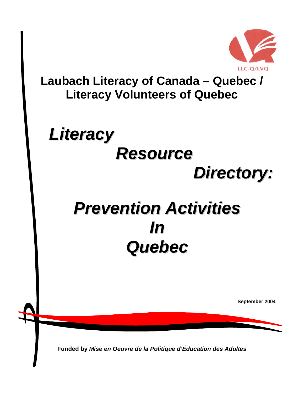

**Laubach Literacy of Canada – Quebec / Literacy Volunteers of Quebec** 

# *Literacy Resource Directory:*

## *Prevention Activities In Quebec*

**September 2004** 

**Funded by** *Mise en Oeuvre de la Politique d'Éducation des Adultes*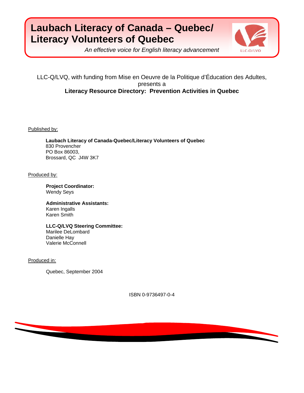## **Laubach Literacy of Canada – Quebec/ Literacy Volunteers of Quebec**



*An effective voice for English literacy advancement* 

LLC-Q/LVQ, with funding from Mise en Oeuvre de la Politique d'Éducation des Adultes, presents a **Literacy Resource Directory: Prevention Activities in Quebec**

Published by:

**Laubach Literacy of Canada-Quebec/Literacy Volunteers of Quebec**  830 Provencher PO Box 86003, Brossard, QC J4W 3K7

Produced by:

**Project Coordinator:**  Wendy Seys

**Administrative Assistants:**  Karen Ingalls Karen Smith

**LLC-Q/LVQ Steering Committee:** Marilee DeLombard Danielle Hay Valerie McConnell

Produced in:

Quebec, September 2004

ISBN 0-9736497-0-4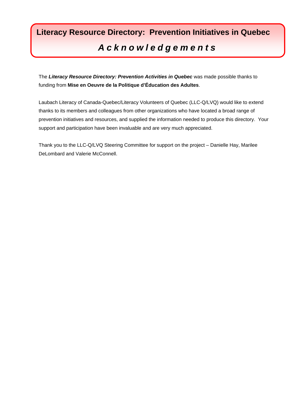## **Literacy Resource Directory: Prevention Initiatives in Quebec**  *Acknowledgements*

The *Literacy Resource Directory: Prevention Activities in Quebec* was made possible thanks to funding from **Mise en Oeuvre de la Politique d'Éducation des Adultes**.

Laubach Literacy of Canada-Quebec/Literacy Volunteers of Quebec (LLC-Q/LVQ) would like to extend thanks to its members and colleagues from other organizations who have located a broad range of prevention initiatives and resources, and supplied the information needed to produce this directory. Your support and participation have been invaluable and are very much appreciated.

Thank you to the LLC-Q/LVQ Steering Committee for support on the project – Danielle Hay, Marilee DeLombard and Valerie McConnell.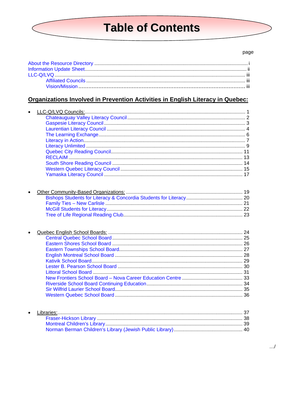## **Table of Contents**

#### page

## Organizations Involved in Prevention Activities in English Literacy in Quebec:

| $\bullet$ |                   |    |
|-----------|-------------------|----|
|           |                   |    |
|           |                   |    |
|           |                   |    |
|           |                   |    |
|           |                   |    |
|           |                   |    |
|           |                   |    |
|           |                   |    |
|           |                   |    |
|           |                   |    |
|           |                   |    |
|           |                   |    |
|           |                   |    |
|           |                   |    |
|           |                   |    |
|           |                   |    |
|           |                   |    |
|           |                   |    |
|           |                   |    |
|           |                   |    |
|           |                   |    |
|           |                   |    |
|           |                   |    |
|           |                   |    |
|           |                   |    |
|           |                   |    |
|           |                   |    |
|           |                   |    |
|           |                   |    |
|           |                   |    |
|           |                   |    |
|           |                   |    |
|           |                   |    |
|           | <b>Librorical</b> | 27 |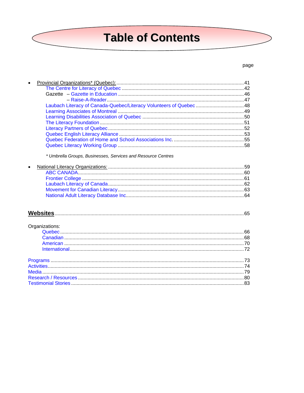## **Table of Contents**

#### page

|                | Laubach Literacy of Canada-Quebec/Literacy Volunteers of Quebec 48 |  |
|----------------|--------------------------------------------------------------------|--|
|                |                                                                    |  |
|                |                                                                    |  |
|                |                                                                    |  |
|                |                                                                    |  |
|                |                                                                    |  |
|                |                                                                    |  |
|                |                                                                    |  |
|                | * Umbrella Groups, Businesses, Services and Resource Centres       |  |
| $\bullet$      |                                                                    |  |
|                |                                                                    |  |
|                |                                                                    |  |
|                |                                                                    |  |
|                |                                                                    |  |
|                |                                                                    |  |
|                |                                                                    |  |
|                |                                                                    |  |
| Organizations: |                                                                    |  |
|                |                                                                    |  |
|                |                                                                    |  |
|                |                                                                    |  |
|                |                                                                    |  |
|                |                                                                    |  |
|                |                                                                    |  |
|                |                                                                    |  |
|                |                                                                    |  |
|                |                                                                    |  |
|                |                                                                    |  |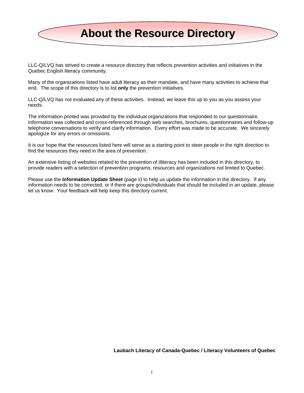<span id="page-5-0"></span>

LLC-Q/LVQ has strived to create a resource directory that reflects prevention activities and initiatives in the Quebec English literacy community.

Many of the organizations listed have adult literacy as their mandate, and have many activities to achieve that end. The scope of this directory is to list **only** the prevention initiatives.

LLC-Q/LVQ has not evaluated any of these activities. Instead, we leave this up to you as you assess your needs.

The information printed was provided by the individual organizations that responded to our questionnaire. Information was collected and cross-referenced through web searches, brochures, questionnaires and follow-up telephone conversations to verify and clarify information. Every effort was made to be accurate. We sincerely apologize for any errors or omissions.

It is our hope that the resources listed here will serve as a starting point to steer people in the right direction to find the resources they need in the area of prevention.

An extensive listing of websites related to the prevention of illiteracy has been included in this directory, to provide readers with a selection of prevention programs, resources and organizations not limited to Quebec.

Please use the **Information Update Sheet** (page ii) to help us update the information in the directory. If any information needs to be corrected, or if there are groups/individuals that should be included in an update, please let us know. Your feedback will help keep this directory current.

#### **Laubach Literacy of Canada-Quebec / Literacy Volunteers of Quebec**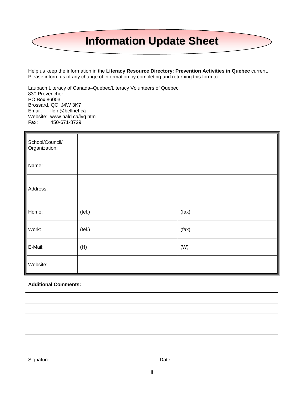# <span id="page-6-0"></span>**Information Update Sheet**

Help us keep the information in the **Literacy Resource Directory: Prevention Activities in Quebec** current. Please inform us of any change of information by completing and returning this form to:

Laubach Literacy of Canada–Quebec/Literacy Volunteers of Quebec 830 Provencher PO Box 86003, Brossard, QC J4W 3K7 Email: llc-q@bellnet.ca Website: www.nald.ca/lvq.htm Fax: 450-671-8729

| School/Council/<br>Organization: |        |       |
|----------------------------------|--------|-------|
| Name:                            |        |       |
| Address:                         |        |       |
| Home:                            | (tel.) | (fax) |
| Work:                            | (tel.) | (fax) |
| E-Mail:                          | (H)    | (W)   |
| Website:                         |        |       |

#### **Additional Comments:**

Signature: \_\_\_\_\_\_\_\_\_\_\_\_\_\_\_\_\_\_\_\_\_\_\_\_\_\_\_\_\_\_\_\_\_\_\_\_\_ Date: \_\_\_\_\_\_\_\_\_\_\_\_\_\_\_\_\_\_\_\_\_\_\_\_\_\_\_\_\_\_\_\_\_\_\_\_\_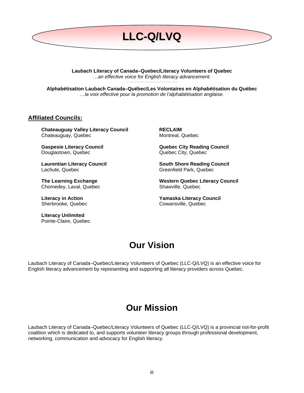<span id="page-7-0"></span>

**Laubach Literacy of Canada–Quebec/Literacy Volunteers of Quebec**  *…an effective voice for English literacy advancement.* **\_\_\_\_\_\_\_\_\_\_\_\_\_\_\_\_\_\_\_\_\_\_\_\_\_\_\_\_\_\_\_\_\_\_\_\_\_** 

**Alphabétisation Laubach Canada–Québec/Les Volontaires en Alphabétisation du Québec**  *…la voix effective pour la promotion de l'alphabétisation anglaise.* 

#### **Affiliated Councils:**

**Chateauguay Valley Literacy Council**  Chateauguay, Quebec

**Gaspesie Literacy Council**  Douglastown, Quebec

**Laurentian Literacy Council**  Lachute, Quebec

**The Learning Exchange**  Chomedey, Laval, Quebec

**Literacy in Action**  Sherbrooke, Quebec

**Literacy Unlimited**  Pointe-Claire, Quebec **RECLAIM**  Montreal, Quebec

**Quebec City Reading Council**  Quebec City, Quebec

**South Shore Reading Council**  Greenfield Park, Quebec

**Western Quebec Literacy Council**  Shawville, Quebec

**Yamaska Literacy Council**  Cowansville, Quebec

## **Our Vision**

Laubach Literacy of Canada–Quebec/Literacy Volunteers of Quebec (LLC-Q/LVQ) is an effective voice for English literacy advancement by representing and supporting all literacy providers across Quebec.

## **Our Mission**

Laubach Literacy of Canada–Quebec/Literacy Volunteers of Quebec (LLC-Q/LVQ) is a provincial not-for-profit coalition which is dedicated to, and supports volunteer literacy groups through professional development, networking, communication and advocacy for English literacy.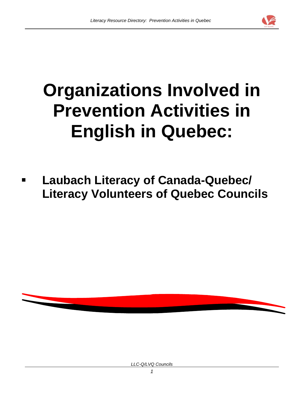

# **Organizations Involved in Prevention Activities in English in Quebec:**

 **Laubach Literacy of Canada-Quebec/ Literacy Volunteers of Quebec Councils** 



*LLC-Q/LVQ Councils*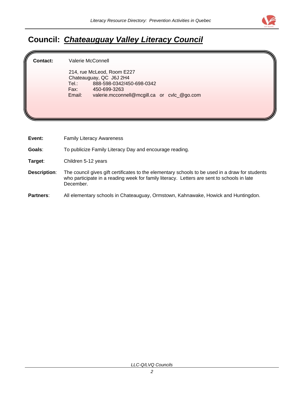

## <span id="page-9-0"></span>**Council:** *Chateauguay Valley Literacy Council*

**Contact:** Valerie McConnell

214, rue McLeod, Room E227 Chateauguay, QC J6J 2H4 Tel.: 888-598-0342/450-698-0342 Fax: 450-699-3263 Email: valerie.mcconnell@mcgill.ca or cvlc\_@go.com

**Event:** Family Literacy Awareness

**Goals**: To publicize Family Literacy Day and encourage reading.

**Target**: Children 5-12 years

- **Description**: The council gives gift certificates to the elementary schools to be used in a draw for students who participate in a reading week for family literacy. Letters are sent to schools in late December.
- **Partners**: All elementary schools in Chateauguay, Ormstown, Kahnawake, Howick and Huntingdon.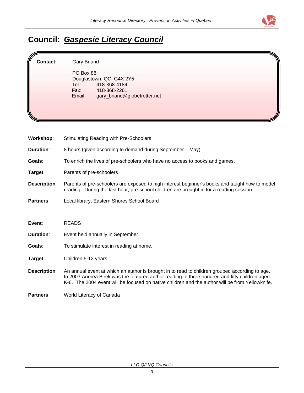

## <span id="page-10-0"></span>**Council:** *Gaspesie Literacy Council*

**Contact:** Gary Briand

PO Box 88, Douglastown, QC G4X 2Y5<br>Tel.: 418-368-4184 Tel.: 418-368-4184<br>Fax: 418-368-2261 Fax: 418-368-2261<br>Email: gary\_briand@ gary\_briand@globetrotter.net

| Workshop:           | <b>Stimulating Reading with Pre-Schoolers</b>                                                                                                                                                                                                                                                     |
|---------------------|---------------------------------------------------------------------------------------------------------------------------------------------------------------------------------------------------------------------------------------------------------------------------------------------------|
| Duration:           | 8 hours (given according to demand during September - May)                                                                                                                                                                                                                                        |
| Goals:              | To enrich the lives of pre-schoolers who have no access to books and games.                                                                                                                                                                                                                       |
| Target:             | Parents of pre-schoolers                                                                                                                                                                                                                                                                          |
| <b>Description:</b> | Parents of pre-schoolers are exposed to high interest beginner's books and taught how to model<br>reading. During the last hour, pre-school children are brought in for a reading session.                                                                                                        |
| <b>Partners:</b>    | Local library, Eastern Shores School Board                                                                                                                                                                                                                                                        |
|                     |                                                                                                                                                                                                                                                                                                   |
|                     |                                                                                                                                                                                                                                                                                                   |
| Event:              | <b>READS</b>                                                                                                                                                                                                                                                                                      |
| Duration:           | Event held annually in September                                                                                                                                                                                                                                                                  |
| Goals:              | To stimulate interest in reading at home.                                                                                                                                                                                                                                                         |
| Target:             | Children 5-12 years                                                                                                                                                                                                                                                                               |
| <b>Description:</b> | An annual event at which an author is brought in to read to children grouped according to age.<br>In 2003 Andrea Beek was the featured author reading to three hundred and fifty children aged<br>K-6. The 2004 event will be focused on native children and the author will be from Yellowknife. |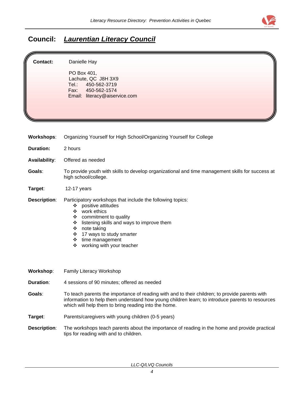

## <span id="page-11-0"></span>**Council:** *Laurentian Literacy Council*

| Contact:             | Danielle Hay<br>PO Box 401,<br>Lachute, QC J8H 3X9<br>450-562-3719<br>Tel.:<br>Fax:<br>450-562-1574<br>Email: literacy@aiservice.com                                                                                                                                                                     |
|----------------------|----------------------------------------------------------------------------------------------------------------------------------------------------------------------------------------------------------------------------------------------------------------------------------------------------------|
| <b>Workshops:</b>    | Organizing Yourself for High School/Organizing Yourself for College                                                                                                                                                                                                                                      |
| <b>Duration:</b>     | 2 hours                                                                                                                                                                                                                                                                                                  |
| <b>Availability:</b> | Offered as needed                                                                                                                                                                                                                                                                                        |
| Goals:               | To provide youth with skills to develop organizational and time management skills for success at<br>high school/college.                                                                                                                                                                                 |
| Target:              | 12-17 years                                                                                                                                                                                                                                                                                              |
| <b>Description:</b>  | Participatory workshops that include the following topics:<br>positive attitudes<br>❖<br>work ethics<br>❖<br>commitment to quality<br>❖<br>listening skills and ways to improve them<br>❖<br>note taking<br>❖<br>17 ways to study smarter<br>❖<br>time management<br>❖<br>working with your teacher<br>❖ |
| Workshop:            | <b>Family Literacy Workshop</b>                                                                                                                                                                                                                                                                          |
| <b>Duration:</b>     | 4 sessions of 90 minutes; offered as needed                                                                                                                                                                                                                                                              |
| Goals:               | To teach parents the importance of reading with and to their children; to provide parents with<br>information to help them understand how young children learn; to introduce parents to resources<br>which will help them to bring reading into the home.                                                |
| Target:              | Parents/caregivers with young children (0-5 years)                                                                                                                                                                                                                                                       |
| <b>Description:</b>  | The workshops teach parents about the importance of reading in the home and provide practical<br>tips for reading with and to children.                                                                                                                                                                  |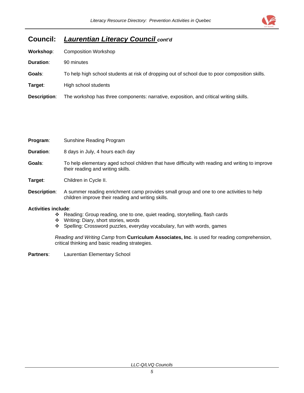

### **Council:** *Laurentian Literacy Council cont'd*

| Workshop:           | <b>Composition Workshop</b>                                                                    |
|---------------------|------------------------------------------------------------------------------------------------|
| Duration:           | 90 minutes                                                                                     |
| Goals:              | To help high school students at risk of dropping out of school due to poor composition skills. |
| Target:             | High school students                                                                           |
| <b>Description:</b> | The workshop has three components: narrative, exposition, and critical writing skills.         |
|                     |                                                                                                |

| Program:     | Sunshine Reading Program                                                                                                                      |
|--------------|-----------------------------------------------------------------------------------------------------------------------------------------------|
| Duration:    | 8 days in July, 4 hours each day                                                                                                              |
| Goals:       | To help elementary aged school children that have difficulty with reading and writing to improve<br>their reading and writing skills.         |
| Target:      | Children in Cycle II.                                                                                                                         |
| Description: | A summer reading enrichment camp provides small group and one to one activities to help<br>children improve their reading and writing skills. |

#### **Activities include**:

- Reading: Group reading, one to one, quiet reading, storytelling, flash cards
- Writing: Diary, short stories, words
- Spelling: Crossword puzzles, everyday vocabulary, fun with words, games

*Reading and Writing Camp* from **Curriculum Associates, Inc**. is used for reading comprehension, critical thinking and basic reading strategies.

**Partners**: Laurentian Elementary School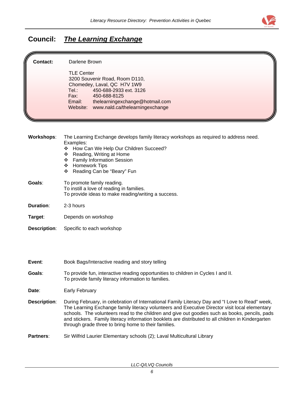

## <span id="page-13-0"></span>**Council:** *The Learning Exchange*

| <b>Contact:</b>     | Darlene Brown                                                                                                                                                                                                                                                                                                                                                                                                                                                     |
|---------------------|-------------------------------------------------------------------------------------------------------------------------------------------------------------------------------------------------------------------------------------------------------------------------------------------------------------------------------------------------------------------------------------------------------------------------------------------------------------------|
|                     | <b>TLE Center</b><br>3200 Souvenir Road, Room D110,<br>Chomedey, Laval, QC H7V 1W9<br>450-688-2933 ext. 3126<br>Tel:<br>Fax:<br>450-688-8125<br>Email:<br>thelearningexchange@hotmail.com<br>www.nald.ca/thelearningexchange<br>Website:                                                                                                                                                                                                                          |
|                     |                                                                                                                                                                                                                                                                                                                                                                                                                                                                   |
| <b>Workshops:</b>   | The Learning Exchange develops family literacy workshops as required to address need.<br>Examples:<br>How Can We Help Our Children Succeed?<br>❖<br>Reading, Writing at Home<br>❖<br><b>Family Information Session</b><br>❖<br><b>Homework Tips</b><br>❖<br>Reading Can be "Beary" Fun<br>❖                                                                                                                                                                       |
| Goals:              | To promote family reading.<br>To instill a love of reading in families.<br>To provide ideas to make reading/writing a success.                                                                                                                                                                                                                                                                                                                                    |
| <b>Duration:</b>    | 2-3 hours                                                                                                                                                                                                                                                                                                                                                                                                                                                         |
| Target:             | Depends on workshop                                                                                                                                                                                                                                                                                                                                                                                                                                               |
| <b>Description:</b> | Specific to each workshop                                                                                                                                                                                                                                                                                                                                                                                                                                         |
|                     |                                                                                                                                                                                                                                                                                                                                                                                                                                                                   |
| Event:              | Book Bags/Interactive reading and story telling                                                                                                                                                                                                                                                                                                                                                                                                                   |
| Goals:              | To provide fun, interactive reading opportunities to children in Cycles I and II.<br>To provide family literacy information to families.                                                                                                                                                                                                                                                                                                                          |
| Date:               | <b>Early February</b>                                                                                                                                                                                                                                                                                                                                                                                                                                             |
| <b>Description:</b> | During February, in celebration of International Family Literacy Day and "I Love to Read" week,<br>The Learning Exchange family literacy volunteers and Executive Director visit local elementary<br>schools. The volunteers read to the children and give out goodies such as books, pencils, pads<br>and stickers. Family literacy information booklets are distributed to all children in Kindergarten<br>through grade three to bring home to their families. |
| Partners:           | Sir Wilfrid Laurier Elementary schools (2); Laval Multicultural Library                                                                                                                                                                                                                                                                                                                                                                                           |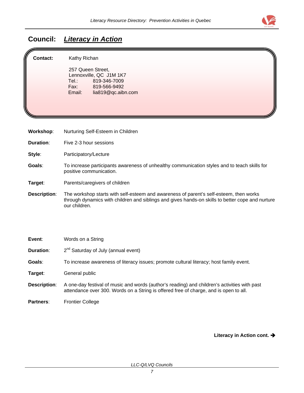

## <span id="page-14-0"></span>**Council:** *Literacy in Action*

| Contact:         | Kathy Richan<br>257 Queen Street,<br>Lennoxville, QC J1M 1K7<br>Tel∴<br>819-346-7009<br>Fax: Fax:<br>819-566-9492<br>Email:<br>lia819@qc.aibn.com |
|------------------|---------------------------------------------------------------------------------------------------------------------------------------------------|
| Workshop:        | Nurturing Self-Esteem in Children                                                                                                                 |
| <b>Duration:</b> | Five 2-3 hour sessions                                                                                                                            |
| Style:           | Participatory/Lecture                                                                                                                             |
| Goals:           | To increase participants awareness of unhealthy communication styles and to teach skills for<br>positive communication.                           |

- **Target**: Parents/caregivers of children
- **Description**: The workshop starts with self-esteem and awareness of parent's self-esteem, then works through dynamics with children and siblings and gives hands-on skills to better cope and nurture our children.

**Event**: Words on a String

**Duration:** 2<sup>nd</sup> Saturday of July (annual event)

**Goals**: To increase awareness of literacy issues; promote cultural literacy; host family event.

**Target**: General public

- **Description**: A one-day festival of music and words (author's reading) and children's activities with past attendance over 300. Words on a String is offered free of charge, and is open to all.
- Partners: Frontier College

Literacy in Action cont. >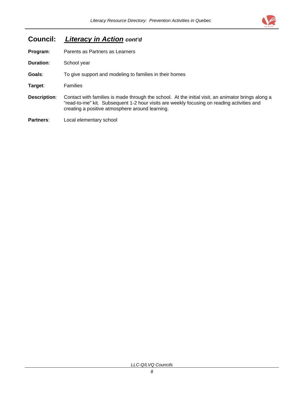

### **Council:** *Literacy in Action cont'd*

**Program:** Parents as Partners as Learners

**Duration**:School year

**Goals**: To give support and modeling to families in their homes

**Target**: Families

**Description**: Contact with families is made through the school. At the initial visit, an animator brings along a "read-to-me" kit. Subsequent 1-2 hour visits are weekly focusing on reading activities and creating a positive atmosphere around learning.

**Partners**: Local elementary school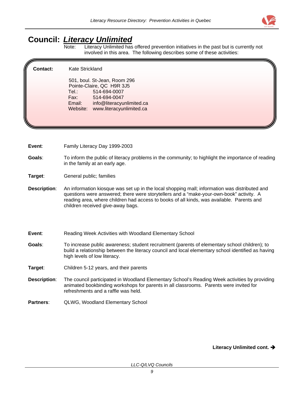

## <span id="page-16-0"></span>**Council:** *Literacy Unlimited*

Note: Literacy Unlimited has offered prevention initiatives in the past but is currently not involved in this area. The following describes some of these activities:

#### **Contact:** Kate Strickland

501, boul. St-Jean, Room 296 Pointe-Claire, QC H9R 3J5 Tel.: 514-694-0007 Fax: 514-694-0047 Email: info@literacyunlimited.ca Website: www.literacyunlimited.ca

**Event**: Family Literacy Day 1999-2003

**Goals**: To inform the public of literacy problems in the community; to highlight the importance of reading in the family at an early age.

**Target**: General public; families

**Description**: An information kiosque was set up in the local shopping mall; information was distributed and questions were answered; there were storytellers and a "make-your-own-book" activity. A reading area, where children had access to books of all kinds, was available. Parents and children received give-away bags.

#### **Event:** Reading Week Activities with Woodland Elementary School

- **Goals**: To increase public awareness; student recruitment (parents of elementary school children); to build a relationship between the literacy council and local elementary school identified as having high levels of low literacy.
- **Target**: Children 5-12 years, and their parents
- **Description**: The council participated in Woodland Elementary School's Reading Week activities by providing animated bookbinding workshops for parents in all classrooms. Parents were invited for refreshments and a raffle was held.
- **Partners**: QLWG, Woodland Elementary School

Literacy Unlimited cont. >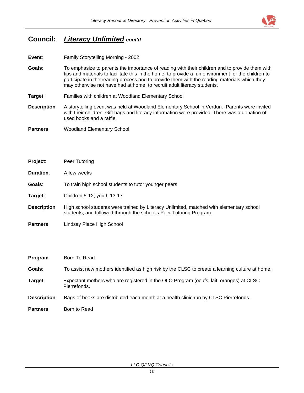

### **Council:** *Literacy Unlimited cont'd*

- **Event**: Family Storytelling Morning 2002
- **Goals**: To emphasize to parents the importance of reading with their children and to provide them with tips and materials to facilitate this in the home; to provide a fun environment for the children to participate in the reading process and to provide them with the reading materials which they may otherwise not have had at home; to recruit adult literacy students.
- **Target**: Families with children at Woodland Elementary School
- **Description**: A storytelling event was held at Woodland Elementary School in Verdun. Parents were invited with their children. Gift bags and literacy information were provided. There was a donation of used books and a raffle.
- **Partners**: Woodland Elementary School

| Project:            | Peer Tutoring                                                                                                                                                 |
|---------------------|---------------------------------------------------------------------------------------------------------------------------------------------------------------|
| <b>Duration:</b>    | A few weeks                                                                                                                                                   |
| Goals:              | To train high school students to tutor younger peers.                                                                                                         |
| Target:             | Children 5-12; youth 13-17                                                                                                                                    |
| <b>Description:</b> | High school students were trained by Literacy Unlimited, matched with elementary school<br>students, and followed through the school's Peer Tutoring Program. |
| <b>Partners:</b>    | Lindsay Place High School                                                                                                                                     |

| Program:     | Born To Read                                                                                           |
|--------------|--------------------------------------------------------------------------------------------------------|
| Goals:       | To assist new mothers identified as high risk by the CLSC to create a learning culture at home.        |
| Target:      | Expectant mothers who are registered in the OLO Program (oeufs, lait, oranges) at CLSC<br>Pierrefonds. |
| Description: | Bags of books are distributed each month at a health clinic run by CLSC Pierrefonds.                   |
| Partners:    | Born to Read                                                                                           |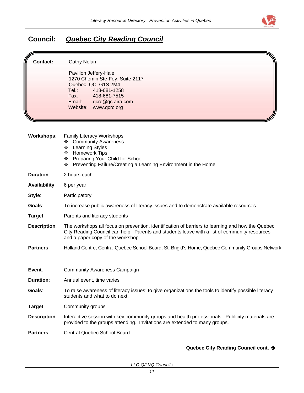

## <span id="page-18-0"></span>**Council:** *Quebec City Reading Council*

| <b>Contact:</b>      | Cathy Nolan<br>Pavillon Jeffery-Hale<br>1270 Chemin Ste-Foy, Suite 2117<br>Quebec, QC G1S 2M4<br>Tel.:<br>418-681-1258<br>Fax:<br>418-681-7515<br>Email:<br>qcrc@qc.aira.com<br>Website: www.qcrc.org                                 |  |  |  |
|----------------------|---------------------------------------------------------------------------------------------------------------------------------------------------------------------------------------------------------------------------------------|--|--|--|
| <b>Workshops:</b>    | Family Literacy Workshops<br><b>Community Awareness</b><br>❖<br><b>Learning Styles</b><br>❖<br>Homework Tips<br>❖<br>Preparing Your Child for School<br>❖<br>Preventing Failure/Creating a Learning Environment in the Home<br>❖      |  |  |  |
| <b>Duration:</b>     | 2 hours each                                                                                                                                                                                                                          |  |  |  |
| <b>Availability:</b> | 6 per year                                                                                                                                                                                                                            |  |  |  |
| Style:               | Participatory                                                                                                                                                                                                                         |  |  |  |
| Goals:               | To increase public awareness of literacy issues and to demonstrate available resources.                                                                                                                                               |  |  |  |
| Target:              | Parents and literacy students                                                                                                                                                                                                         |  |  |  |
| <b>Description:</b>  | The workshops all focus on prevention, identification of barriers to learning and how the Quebec<br>City Reading Council can help. Parents and students leave with a list of community resources<br>and a paper copy of the workshop. |  |  |  |
| Partners:            | Holland Centre, Central Quebec School Board, St. Brigid's Home, Quebec Community Groups Network                                                                                                                                       |  |  |  |
| Event:               | <b>Community Awareness Campaign</b>                                                                                                                                                                                                   |  |  |  |
| <b>Duration:</b>     | Annual event, time varies                                                                                                                                                                                                             |  |  |  |
| Goals:               | To raise awareness of literacy issues; to give organizations the tools to identify possible literacy<br>students and what to do next.                                                                                                 |  |  |  |
| Target:              | Community groups                                                                                                                                                                                                                      |  |  |  |
| <b>Description:</b>  | Interactive session with key community groups and health professionals. Publicity materials are<br>provided to the groups attending. Invitations are extended to many groups.                                                         |  |  |  |
| Partners:            | <b>Central Quebec School Board</b>                                                                                                                                                                                                    |  |  |  |

#### Quebec City Reading Council cont. >

*LLC-Q/LVQ Councils*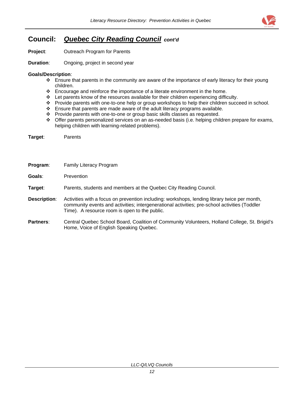

## **Council:** *Quebec City Reading Council**cont'd*

**Project**: Outreach Program for Parents

**Duration:** Ongoing, project in second year

#### **Goals/Description**:

- $\div$  Ensure that parents in the community are aware of the importance of early literacy for their young children.
- \* Encourage and reinforce the importance of a literate environment in the home.
- $\div$  Let parents know of the resources available for their children experiencing difficulty.
- Provide parents with one-to-one help or group workshops to help their children succeed in school.
- $\div$  Ensure that parents are made aware of the adult literacy programs available.
- \* Provide parents with one-to-one or group basic skills classes as requested.
- \* Offer parents personalized services on an as-needed basis (i.e. helping children prepare for exams, helping children with learning-related problems).

**Target**: Parents

- **Program**: Family Literacy Program
- **Goals**: Prevention

**Target**: Parents, students and members at the Quebec City Reading Council.

- **Description**: Activities with a focus on prevention including: workshops, lending library twice per month, community events and activities; intergenerational activities; pre-school activities (Toddler Time). A resource room is open to the public.
- **Partners**: Central Quebec School Board, Coalition of Community Volunteers, Holland College, St. Brigid's Home, Voice of English Speaking Quebec.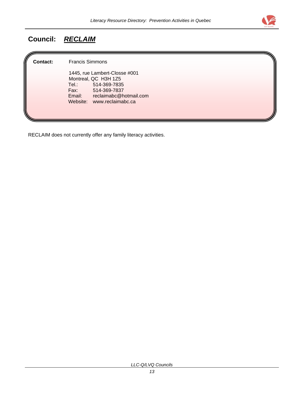

## <span id="page-20-0"></span>**Council:** *RECLAIM*

**Contact:** Francis Simmons

1445, rue Lambert-Closse #001 Montreal, QC H3H 1Z5<br>Tel.: 514-369-783 Tel.: 514-369-7835<br>Fax: 514-369-7837 Fax: 514-369-7837<br>Email: reclaimabc@h reclaimabc@hotmail.com Website: www.reclaimabc.ca

RECLAIM does not currently offer any family literacy activities.

*LLC-Q/LVQ Councils*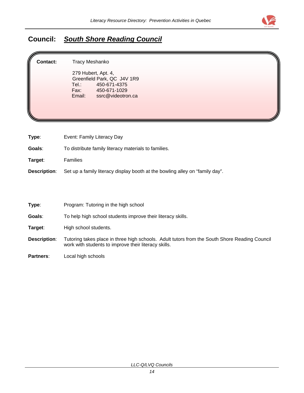

## <span id="page-21-0"></span>**Council:** *South Shore Reading Council*

**Contact:** Tracy Meshanko

 279 Hubert, Apt. 4, Greenfield Park, QC J4V 1R9<br>Tel.: 450-671-4375 Tel.: 450-671-4375 Fax: 450-671-1029 Email: ssrc@videotron.ca

| Type:               | Event: Family Literacy Day                                                   |
|---------------------|------------------------------------------------------------------------------|
| Goals:              | To distribute family literacy materials to families.                         |
| Tarqet:             | <b>Families</b>                                                              |
| <b>Description:</b> | Set up a family literacy display booth at the bowling alley on "family day". |

| Type: | Program: Tutoring in the high school |  |
|-------|--------------------------------------|--|
|       |                                      |  |

**Goals**: To help high school students improve their literacy skills.

Target: High school students.

- **Description**: Tutoring takes place in three high schools. Adult tutors from the South Shore Reading Council work with students to improve their literacy skills.
- **Partners**: Local high schools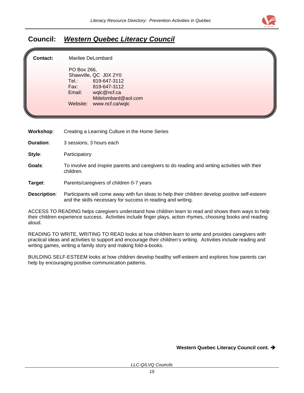

### <span id="page-22-0"></span>**Council:** *Western Quebec Literacy Council*

| <b>Contact:</b> |             | Marilee DeLombard     |  |
|-----------------|-------------|-----------------------|--|
|                 | PO Box 266, |                       |  |
|                 |             | Shawville, QC J0X 2Y0 |  |
|                 | Tel.:       | 819-647-3112          |  |
|                 | Fax:        | 819-647-3112          |  |
|                 | Email:      | wqlc@ncf.ca           |  |
|                 |             | Mdelombard@aol.com    |  |
|                 | Website:    | www.ncf.ca/wqlc       |  |
|                 |             |                       |  |
|                 |             |                       |  |

- **Workshop**: Creating a Learning Culture in the Home Series
- **Duration**:3 sessions, 3 hours each
- **Style:** Participatory
- **Goals**: To involve and inspire parents and caregivers to do reading and writing activities with their children.
- **Target**: Parents/caregivers of children 0-7 years

#### **Description**: Participants will come away with fun ideas to help their children develop positive self-esteem and the skills necessary for success in reading and writing.

ACCESS TO READING helps caregivers understand how children learn to read and shows them ways to help their children experience success. Activities include finger plays, action rhymes, choosing books and reading aloud.

READING TO WRITE, WRITING TO READ looks at how children learn to write and provides caregivers with practical ideas and activities to support and encourage their children's writing. Activities include reading and writing games, writing a family story and making fold-a-books.

BUILDING SELF-ESTEEM looks at how children develop healthy self-esteem and explores how parents can help by encouraging positive communication patterns.

Western Quebec Literacy Council cont.  $\rightarrow$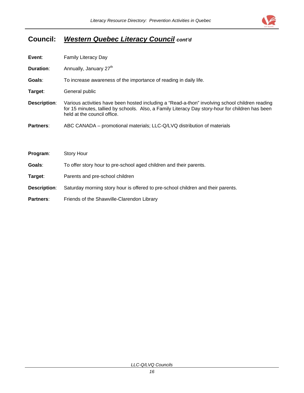

## **Council:** *Western Quebec Literacy Council cont'd*

| Event:              | <b>Family Literacy Day</b>                                                                                                                                                                                                         |  |  |
|---------------------|------------------------------------------------------------------------------------------------------------------------------------------------------------------------------------------------------------------------------------|--|--|
| <b>Duration:</b>    | Annually, January 27 <sup>th</sup>                                                                                                                                                                                                 |  |  |
| Goals:              | To increase awareness of the importance of reading in daily life.                                                                                                                                                                  |  |  |
| Target:             | General public                                                                                                                                                                                                                     |  |  |
| <b>Description:</b> | Various activities have been hosted including a "Read-a-thon" involving school children reading<br>for 15 minutes, tallied by schools. Also, a Family Literacy Day story-hour for children has been<br>held at the council office. |  |  |
| <b>Partners:</b>    | ABC CANADA – promotional materials; LLC-Q/LVQ distribution of materials                                                                                                                                                            |  |  |
|                     |                                                                                                                                                                                                                                    |  |  |
| Program:            | <b>Story Hour</b>                                                                                                                                                                                                                  |  |  |
| Goals:              | To offer story hour to pre-school aged children and their parents.                                                                                                                                                                 |  |  |
| Target:             | Parents and pre-school children                                                                                                                                                                                                    |  |  |
| <b>Description:</b> | Saturday morning story hour is offered to pre-school children and their parents.                                                                                                                                                   |  |  |
| <b>Partners:</b>    | Friends of the Shawville-Clarendon Library                                                                                                                                                                                         |  |  |

*LLC-Q/LVQ Councils*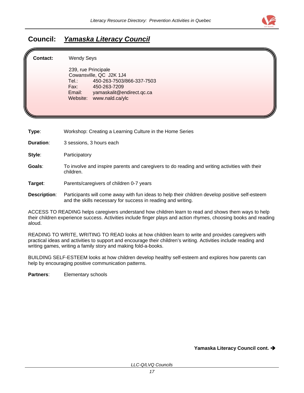

## <span id="page-24-0"></span>**Council:** *Yamaska Literacy Council*

| ll.<br><b>Contact:</b> | <b>Wendy Seys</b>                                                                                                                                                                  |  |
|------------------------|------------------------------------------------------------------------------------------------------------------------------------------------------------------------------------|--|
|                        | 239, rue Principale<br>Cowansville, QC J2K 1J4<br>450-263-7503/866-337-7503<br>Tel.∶<br>Fax:<br>450-263-7209<br>yamaskalit@endirect.qc.ca<br>Email:<br>www.nald.ca/ylc<br>Website: |  |

**Type**: Workshop: Creating a Learning Culture in the Home Series

**Duration:** 3 sessions, 3 hours each

**Style:** Participatory

**Goals**: To involve and inspire parents and caregivers to do reading and writing activities with their children.

**Target**: Parents/caregivers of children 0-7 years

#### **Description**: Participants will come away with fun ideas to help their children develop positive self-esteem and the skills necessary for success in reading and writing.

ACCESS TO READING helps caregivers understand how children learn to read and shows them ways to help their children experience success. Activities include finger plays and action rhymes, choosing books and reading aloud.

READING TO WRITE, WRITING TO READ looks at how children learn to write and provides caregivers with practical ideas and activities to support and encourage their children's writing. Activities include reading and writing games, writing a family story and making fold-a-books.

BUILDING SELF-ESTEEM looks at how children develop healthy self-esteem and explores how parents can help by encouraging positive communication patterns.

**Partners**: Elementary schools

**Yamaska Literacy Council cont.** Î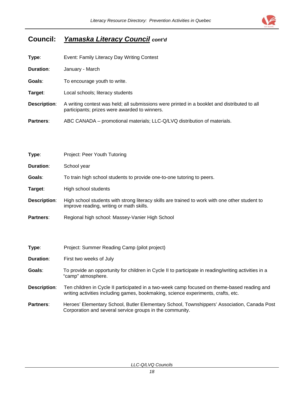

## **Council:** *Yamaska Literacy Council cont'd*

| Type:            | Event: Family Literacy Day Writing Contest                                                                                                    |  |  |
|------------------|-----------------------------------------------------------------------------------------------------------------------------------------------|--|--|
| <b>Duration:</b> | January - March                                                                                                                               |  |  |
| Goals:           | To encourage youth to write.                                                                                                                  |  |  |
| Target:          | Local schools; literacy students                                                                                                              |  |  |
| Description:     | A writing contest was held; all submissions were printed in a booklet and distributed to all<br>participants; prizes were awarded to winners. |  |  |
| <b>Partners:</b> | ABC CANADA – promotional materials; LLC-Q/LVQ distribution of materials.                                                                      |  |  |

| Type:               | Project: Peer Youth Tutoring                                                                                                               |  |  |
|---------------------|--------------------------------------------------------------------------------------------------------------------------------------------|--|--|
| Duration:           | School year                                                                                                                                |  |  |
| Goals:              | To train high school students to provide one-to-one tutoring to peers.                                                                     |  |  |
| Target:             | High school students                                                                                                                       |  |  |
| <b>Description:</b> | High school students with strong literacy skills are trained to work with one other student to<br>improve reading, writing or math skills. |  |  |
| <b>Partners:</b>    | Regional high school: Massey-Vanier High School                                                                                            |  |  |

| Type:            | Project: Summer Reading Camp (pilot project)                                                                                                                                     |  |  |
|------------------|----------------------------------------------------------------------------------------------------------------------------------------------------------------------------------|--|--|
| Duration:        | First two weeks of July                                                                                                                                                          |  |  |
| Goals:           | To provide an opportunity for children in Cycle II to participate in reading/writing activities in a<br>"camp" atmosphere.                                                       |  |  |
| Description:     | Ten children in Cycle II participated in a two-week camp focused on theme-based reading and<br>writing activities including games, bookmaking, science experiments, crafts, etc. |  |  |
| <b>Partners:</b> | Heroes' Elementary School, Butler Elementary School, Townshippers' Association, Canada Post<br>Corporation and several service groups in the community.                          |  |  |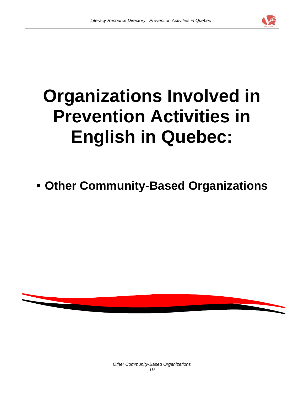

# **Organizations Involved in Prevention Activities in English in Quebec:**

## **Other Community-Based Organizations**



*Other Community-Based Organizations*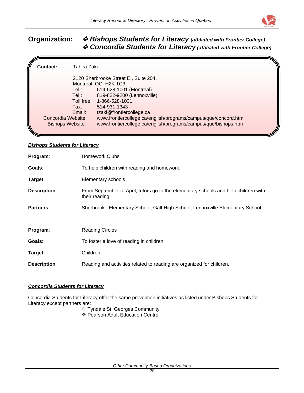

### <span id="page-27-0"></span>**Organization:** *Bishops Students for Literacy (affiliated with Frontier College) Concordia Students for Literacy (affiliated with Frontier College)*

| Contact: | Tahira Zaki             |                                                                |  |
|----------|-------------------------|----------------------------------------------------------------|--|
|          |                         | 2120 Sherbrooke Street E., Suite 204,                          |  |
|          |                         | Montreal, QC H2K 1C3                                           |  |
|          | Tel.:                   | 514-528-1001 (Montreal)<br>819-822-9200 (Lennoxville)          |  |
|          | Tel.:                   | Toll free: 1-866-528-1001                                      |  |
|          | Fax:                    | 514-931-1343                                                   |  |
|          | Email:                  | tzaki@frontiercollege.ca                                       |  |
|          | Concordia Website:      | www.frontiercollege.ca/english/programs/campus/que/concord.htm |  |
|          | <b>Bishops Website:</b> | www.frontiercollege.ca/english/programs/campus/que/bishops.htm |  |
|          |                         |                                                                |  |

#### *Bishops Students for Literacy*

| Program:            | <b>Homework Clubs</b>                                                                                 |
|---------------------|-------------------------------------------------------------------------------------------------------|
| Goals:              | To help children with reading and homework.                                                           |
| Target:             | Elementary schools                                                                                    |
| <b>Description:</b> | From September to April, tutors go to the elementary schools and help children with<br>their reading. |
| <b>Partners:</b>    | Sherbrooke Elementary School; Galt High School; Lennoxville Elementary School.                        |
| Program:            | <b>Reading Circles</b>                                                                                |
| Goals:              | To foster a love of reading in children.                                                              |
| Target:             | Children                                                                                              |
| <b>Description:</b> | Reading and activities related to reading are organized for children.                                 |

#### *Concordia Students for Literacy*

Concordia Students for Literacy offer the same prevention initiatives as listed under Bishops Students for Literacy except partners are:

Tyndale St. Georges Community

Pearson Adult Education Centre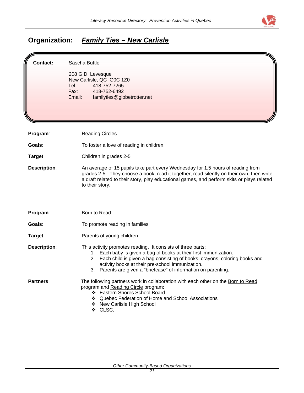

## <span id="page-28-0"></span>**Organization:** *Family Ties – New Carlisle*

| Contact:            | Sascha Buttle<br>208 G.D. Levesque<br>New Carlisle, QC G0C 1Z0<br>418-752-7265<br>Tel.:<br>Fax:<br>418-752-6492<br>familyties@globetrotter.net<br>Email:                                                                                                                                                                                 |
|---------------------|------------------------------------------------------------------------------------------------------------------------------------------------------------------------------------------------------------------------------------------------------------------------------------------------------------------------------------------|
| Program:            | <b>Reading Circles</b>                                                                                                                                                                                                                                                                                                                   |
| Goals:              | To foster a love of reading in children.                                                                                                                                                                                                                                                                                                 |
| Target:             | Children in grades 2-5                                                                                                                                                                                                                                                                                                                   |
| <b>Description:</b> | An average of 15 pupils take part every Wednesday for 1.5 hours of reading from<br>grades 2-5. They choose a book, read it together, read silently on their own, then write<br>a draft related to their story, play educational games, and perform skits or plays related<br>to their story.                                             |
| Program:            | Born to Read                                                                                                                                                                                                                                                                                                                             |
| Goals:              | To promote reading in families                                                                                                                                                                                                                                                                                                           |
| Target:             | Parents of young children                                                                                                                                                                                                                                                                                                                |
| <b>Description:</b> | This activity promotes reading. It consists of three parts:<br>1. Each baby is given a bag of books at their first immunization.<br>2. Each child is given a bag consisting of books, crayons, coloring books and<br>activity books at their pre-school immunization.<br>3. Parents are given a "briefcase" of information on parenting. |
| Partners:           | The following partners work in collaboration with each other on the Born to Read<br>program and Reading Circle program:<br>❖ Eastern Shores School Board<br>❖ Quebec Federation of Home and School Associations<br>❖ New Carlisle High School<br>❖ CLSC.                                                                                 |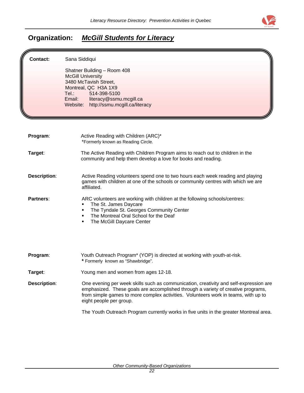

## <span id="page-29-0"></span>**Organization:** *McGill Students for Literacy*

| <b>Contact:</b>     | Sana Siddiqui                                                                                                                                                                                                                                                                              |
|---------------------|--------------------------------------------------------------------------------------------------------------------------------------------------------------------------------------------------------------------------------------------------------------------------------------------|
|                     | Shatner Building - Room 408                                                                                                                                                                                                                                                                |
|                     | <b>McGill University</b>                                                                                                                                                                                                                                                                   |
|                     | 3480 McTavish Street,<br>Montreal, QC H3A 1X9                                                                                                                                                                                                                                              |
|                     | Tel.:<br>514-398-5100                                                                                                                                                                                                                                                                      |
|                     | literacy@ssmu.mcgill.ca<br>Email:                                                                                                                                                                                                                                                          |
|                     | Website:<br>http://ssmu.mcgill.ca/literacy                                                                                                                                                                                                                                                 |
|                     |                                                                                                                                                                                                                                                                                            |
|                     |                                                                                                                                                                                                                                                                                            |
| Program:            | Active Reading with Children (ARC)*                                                                                                                                                                                                                                                        |
|                     | *Formerly known as Reading Circle.                                                                                                                                                                                                                                                         |
| Target:             | The Active Reading with Children Program aims to reach out to children in the                                                                                                                                                                                                              |
|                     | community and help them develop a love for books and reading.                                                                                                                                                                                                                              |
|                     |                                                                                                                                                                                                                                                                                            |
| <b>Description:</b> | Active Reading volunteers spend one to two hours each week reading and playing                                                                                                                                                                                                             |
|                     | games with children at one of the schools or community centres with which we are                                                                                                                                                                                                           |
|                     | affiliated.                                                                                                                                                                                                                                                                                |
| Partners:           | ARC volunteers are working with children at the following schools/centres:                                                                                                                                                                                                                 |
|                     | The St. James Daycare<br>٠                                                                                                                                                                                                                                                                 |
|                     | The Tyndale St. Georges Community Center<br>٠                                                                                                                                                                                                                                              |
|                     | The Montreal Oral School for the Deaf<br>٠<br>The McGill Daycare Center<br>٠                                                                                                                                                                                                               |
|                     |                                                                                                                                                                                                                                                                                            |
|                     |                                                                                                                                                                                                                                                                                            |
| Program:            | Youth Outreach Program* (YOP) is directed at working with youth-at-risk.                                                                                                                                                                                                                   |
|                     | * Formerly known as "Shawbridge".                                                                                                                                                                                                                                                          |
| Target:             | Young men and women from ages 12-18.                                                                                                                                                                                                                                                       |
| <b>Description:</b> | One evening per week skills such as communication, creativity and self-expression are<br>emphasized. These goals are accomplished through a variety of creative programs,<br>from simple games to more complex activities. Volunteers work in teams, with up to<br>eight people per group. |
|                     | The Youth Outreach Program currently works in five units in the greater Montreal area.                                                                                                                                                                                                     |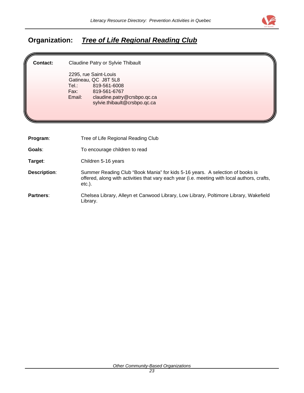

## <span id="page-30-0"></span>**Organization:** *Tree of Life Regional Reading Club*

Þ

| Contact:            | Claudine Patry or Sylvie Thibault<br>2295, rue Saint-Louis<br>Gatineau, QC J8T 5L8<br>Tel.:<br>819-561-6008<br>819-561-6767<br>Fax: Fax:<br>Email:<br>claudine.patry@crsbpo.qc.ca<br>sylvie.thibault@crsbpo.qc.ca |
|---------------------|-------------------------------------------------------------------------------------------------------------------------------------------------------------------------------------------------------------------|
| Program:            | Tree of Life Regional Reading Club                                                                                                                                                                                |
| Goals:              | To encourage children to read                                                                                                                                                                                     |
| Target:             | Children 5-16 years                                                                                                                                                                                               |
| <b>Description:</b> | Summer Reading Club "Book Mania" for kids 5-16 years. A selection of books is<br>offered, along with activities that vary each year (i.e. meeting with local authors, crafts,<br>$etc.$ ).                        |
| Partners:           | Chelsea Library, Alleyn et Canwood Library, Low Library, Poltimore Library, Wakefield<br>Library.                                                                                                                 |

*Other Community-Based Organizations*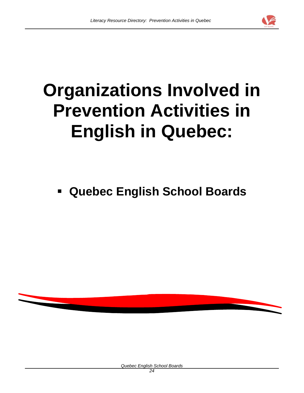

# **Organizations Involved in Prevention Activities in English in Quebec:**

 **Quebec English School Boards** 



*Quebec English School Boards*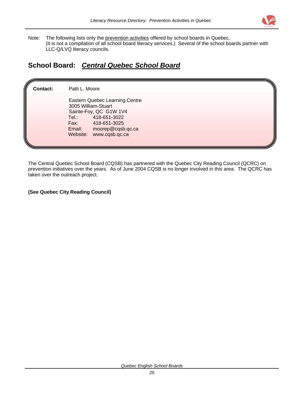

<span id="page-32-0"></span>Note: The following lists only the prevention activities offered by school boards in Quebec. (It is not a compilation of all school board literacy services.) Several of the school boards partner with LLC-Q/LVQ literacy councils.

### **School Board:** *Central Quebec School Board*

**Contact:** Patti L. Moore Eastern Quebec Learning Centre 3005 William-Stuart Sainte-Foy, QC G1W 1V4<br>Tel.: 418-651-3022 Tel.: 418-651-3022 Fax: 418-651-3025 Email: moorep@cqsb.qc.ca Website: www.cqsb.qc.ca

The Central Quebec School Board (CQSB) has partnered with the Quebec City Reading Council (QCRC) on prevention initiatives over the years. As of June 2004 CQSB is no longer involved in this area. The QCRC has taken over the outreach project.

**(See Quebec City Reading Council)**

*Quebec English School Boards*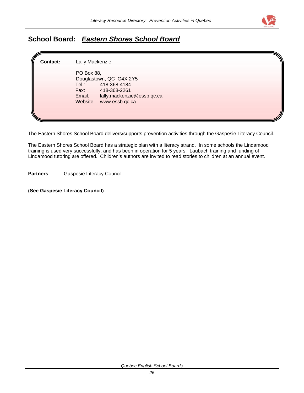

## <span id="page-33-0"></span>**School Board:** *Eastern Shores School Board*

| Lally Mackenzie                                                                                                                                              |  |
|--------------------------------------------------------------------------------------------------------------------------------------------------------------|--|
| PO Box 88,<br>Douglastown, QC G4X 2Y5<br>418-368-4184<br>Tel.:<br>Fax:<br>418-368-2261<br>lally.mackenzie@essb.qc.ca<br>Email:<br>Website:<br>www.essb.qc.ca |  |
|                                                                                                                                                              |  |

The Eastern Shores School Board delivers/supports prevention activities through the Gaspesie Literacy Council.

The Eastern Shores School Board has a strategic plan with a literacy strand. In some schools the Lindamood training is used very successfully, and has been in operation for 5 years. Laubach training and funding of Lindamood tutoring are offered. Children's authors are invited to read stories to children at an annual event.

**Partners**: Gaspesie Literacy Council

**(See Gaspesie Literacy Council)**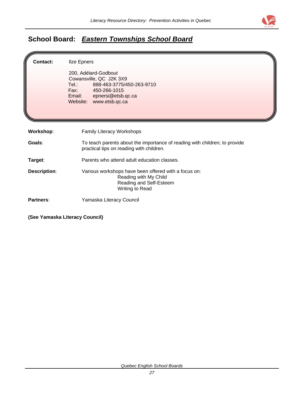

## <span id="page-34-0"></span>**School Board:** *Eastern Townships School Board*

| Contact:            | <b>Ilze Epners</b><br>200, Adélard-Godbout<br>Cowansville, QC J2K 3X9<br>888-463-3775/450-263-9710<br>Tel.: Tel<br>Fax: 450-266-1015<br>Email: epnersi@etsb.qc.ca<br>Website: www.etsb.qc.ca |  |
|---------------------|----------------------------------------------------------------------------------------------------------------------------------------------------------------------------------------------|--|
| <b>Workshop:</b>    | <b>Family Literacy Workshops</b>                                                                                                                                                             |  |
| Goals:              | To teach parents about the importance of reading with children; to provide<br>practical tips on reading with children.                                                                       |  |
| Target:             | Parents who attend adult education classes.                                                                                                                                                  |  |
| <b>Description:</b> | Various workshops have been offered with a focus on:<br>Reading with My Child<br>Reading and Self-Esteem<br>Writing to Read                                                                  |  |
| Partners:           | Yamaska Literacy Council                                                                                                                                                                     |  |

**(See Yamaska Literacy Council)**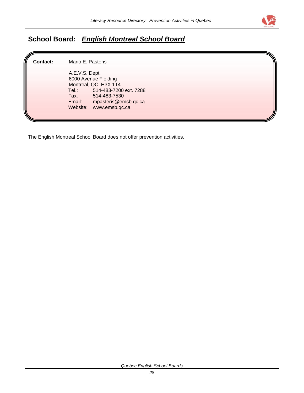

## <span id="page-35-0"></span>**School Board***: English Montreal School Board*

**Contact:** Mario E. Pasteris A.E.V.S. Dept. 6000 Avenue Fielding Montreal, QC H3X 1T4<br>Tel.: 514-483-720 514-483-7200 ext. 7288 Fax: 514-483-7530<br>Email: mpasteris@em mpasteris@emsb.qc.ca Website: www.emsb.qc.ca

The English Montreal School Board does not offer prevention activities.

*Quebec English School Boards*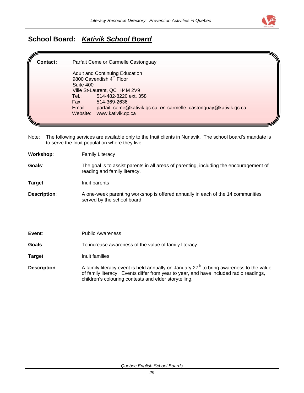

## **School Board:** *Kativik School Board*

| <b>Contact:</b> | Parfait Ceme or Carmelle Castonguay                                                                                                                                                                                                                                                         |
|-----------------|---------------------------------------------------------------------------------------------------------------------------------------------------------------------------------------------------------------------------------------------------------------------------------------------|
|                 | Adult and Continuing Education<br>9800 Cavendish 4 <sup>th</sup> Floor<br>Suite 400<br>Ville St-Laurent, QC H4M 2V9<br>514-482-8220 ext. 358<br>Tel.:<br>Fax:<br>514-369-2636<br>parfait_ceme@kativik.qc.ca_or_carmelle_castonguay@kativik.qc.ca<br>Email:<br>www.kativik.gc.ca<br>Website: |
|                 |                                                                                                                                                                                                                                                                                             |

Note: The following services are available only to the Inuit clients in Nunavik. The school board's mandate is to serve the Inuit population where they live.

| <b>Family Literacy</b>                                                                                                  |
|-------------------------------------------------------------------------------------------------------------------------|
| The goal is to assist parents in all areas of parenting, including the encouragement of<br>reading and family literacy. |
| Inuit parents                                                                                                           |
| A one-week parenting workshop is offered annually in each of the 14 communities<br>served by the school board.          |
|                                                                                                                         |

| Event:       | <b>Public Awareness</b>                                                                                                                                                                                                                       |
|--------------|-----------------------------------------------------------------------------------------------------------------------------------------------------------------------------------------------------------------------------------------------|
| Goals:       | To increase awareness of the value of family literacy.                                                                                                                                                                                        |
| Target:      | Inuit families                                                                                                                                                                                                                                |
| Description: | A family literacy event is held annually on January $27th$ to bring awareness to the value<br>of family literacy. Events differ from year to year, and have included radio readings,<br>children's colouring contests and elder storytelling. |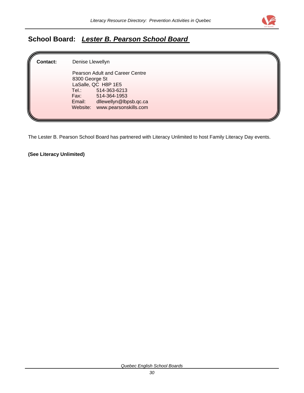

## **School Board:** *Lester B. Pearson School Board*

| <b>Contact:</b> | Denise Llewellyn                                                                                                                                                                                       |  |
|-----------------|--------------------------------------------------------------------------------------------------------------------------------------------------------------------------------------------------------|--|
|                 | Pearson Adult and Career Centre<br>8300 George St<br>LaSalle, QC H8P 1E5<br>Tel.: Tel<br>514-363-6213<br>Fax:<br>514-364-1953<br>dllewellyn@lbpsb.qc.ca<br>Email:<br>www.pearsonskills.com<br>Website: |  |

The Lester B. Pearson School Board has partnered with Literacy Unlimited to host Family Literacy Day events.

**(See Literacy Unlimited)**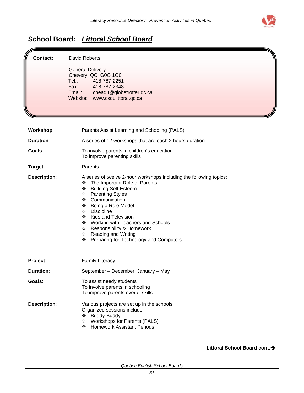

## **School Board:** *Littoral School Board*

| <b>Contact:</b>     | David Roberts<br><b>General Delivery</b><br>Chevery, QC G0G 1G0<br>Tel.:<br>418-787-2251<br>Fax:<br>418-787-2348<br>Email: cheadu@globetrotter.qc.ca<br>Website: www.csdulittoral.qc.ca                                                                                                                                                                                                                                                         |
|---------------------|-------------------------------------------------------------------------------------------------------------------------------------------------------------------------------------------------------------------------------------------------------------------------------------------------------------------------------------------------------------------------------------------------------------------------------------------------|
| Workshop:           | Parents Assist Learning and Schooling (PALS)                                                                                                                                                                                                                                                                                                                                                                                                    |
| <b>Duration:</b>    | A series of 12 workshops that are each 2 hours duration                                                                                                                                                                                                                                                                                                                                                                                         |
| Goals:              | To involve parents in children's education<br>To improve parenting skills                                                                                                                                                                                                                                                                                                                                                                       |
| Target:             | Parents                                                                                                                                                                                                                                                                                                                                                                                                                                         |
| <b>Description:</b> | A series of twelve 2-hour workshops including the following topics:<br>The Important Role of Parents<br>❖<br><b>Building Self-Esteem</b><br>❖<br><b>Parenting Styles</b><br>❖<br>Communication<br>❖<br>Being a Role Model<br>❖<br><b>Discipline</b><br>❖<br><b>Kids and Television</b><br>❖<br>Working with Teachers and Schools<br>❖<br>Responsibility & Homework<br>❖<br>❖ Reading and Writing<br>Preparing for Technology and Computers<br>❖ |
| Project:            | <b>Family Literacy</b>                                                                                                                                                                                                                                                                                                                                                                                                                          |
| <b>Duration:</b>    | September - December, January - May                                                                                                                                                                                                                                                                                                                                                                                                             |
| Goals:              | To assist needy students<br>To involve parents in schooling<br>To improve parents overall skills                                                                                                                                                                                                                                                                                                                                                |
| Description:        | Various projects are set up in the schools.<br>Organized sessions include:<br>❖ Buddy-Buddy<br>❖ Workshops for Parents (PALS)<br>❖ Homework Assistant Periods                                                                                                                                                                                                                                                                                   |

Littoral School Board cont.<sup>></sup>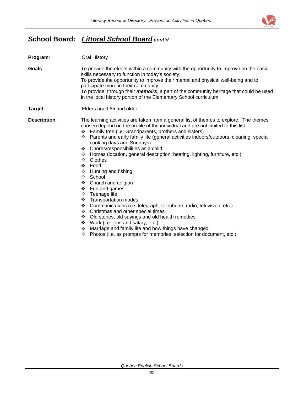

## **School Board:** *Littoral School Board cont'd*

| Program:            | Oral History                                                                                                                                                                                                                                                                                                                                                                                                                                                                                                                                                                                                                                                                                                                                                                                                                                                                                                                                                                     |  |
|---------------------|----------------------------------------------------------------------------------------------------------------------------------------------------------------------------------------------------------------------------------------------------------------------------------------------------------------------------------------------------------------------------------------------------------------------------------------------------------------------------------------------------------------------------------------------------------------------------------------------------------------------------------------------------------------------------------------------------------------------------------------------------------------------------------------------------------------------------------------------------------------------------------------------------------------------------------------------------------------------------------|--|
| Goals:              | To provide the elders within a community with the opportunity to improve on the basic<br>skills necessary to function in today's society;<br>To provide the opportunity to improve their mental and physical well-being and to<br>participate more in their community;<br>To provide, through their <i>memoirs</i> , a part of the community heritage that could be used<br>in the local history portion of the Elementary School curriculum                                                                                                                                                                                                                                                                                                                                                                                                                                                                                                                                     |  |
| Target:             | Elders aged 65 and older                                                                                                                                                                                                                                                                                                                                                                                                                                                                                                                                                                                                                                                                                                                                                                                                                                                                                                                                                         |  |
| <b>Description:</b> | The learning activities are taken from a general list of themes to explore. The themes<br>chosen depend on the profile of the individual and are not limited to this list.<br>Family tree (i.e. Grandparents, brothers and sisters)<br>❖<br>Parents and early family life (general activities indoors/outdoors, cleaning, special<br>❖<br>cooking days and Sundays)<br>❖ Chores/responsibilities as a child<br>Homes (location, general description, heating, lighting, furniture, etc.)<br>❖<br>Clothes<br>❖<br><b>WEBSTER</b><br>Food<br>$\div$ Hunting and fishing<br>❖<br>School<br>Church and religion<br>❖<br>$\div$ Fun and games<br>Teenage life<br>❖<br>❖ Transportation modes<br>Communications (i.e. telegraph, telephone, radio, television, etc.)<br>❖<br>Christmas and other special times<br>❖<br>Old stories, old sayings and old health remedies<br>豪心<br>$\div$ Work (i.e. jobs and salary, etc.)<br>Marriage and family life and how things have changed<br>❖ |  |

Photos (i.e. as prompts for memories, selection for document, etc.)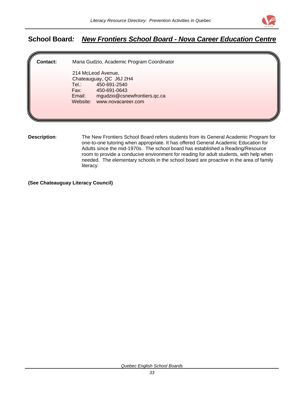

### **School Board***: New Frontiers School Board - Nova Career Education Centre*

**Contact:** Maria Gudzio, Academic Program Coordinator 214 McLeod Avenue, Chateauguay, QC J6J 2H4 Tel.: 450-691-2540 Fax: 450-691-0643 Email: mgudzio@csnewfrontiers.qc.ca Website: www.novacareer.com

**Description**: The New Frontiers School Board refers students from its General Academic Program for one-to-one tutoring when appropriate. It has offered General Academic Education for Adults since the mid-1970s. The school board has established a Reading/Resource room to provide a conducive environment for reading for adult students, with help when needed. The elementary schools in the school board are proactive in the area of family literacy.

**(See Chateauguay Literacy Council)**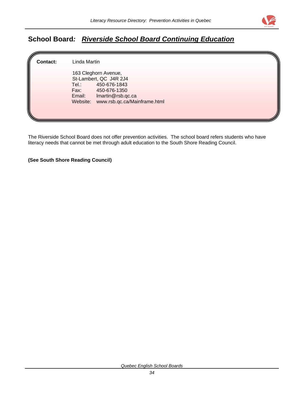

## **School Board***: Riverside School Board Continuing Education*

| ll<br><b>Contact:</b> | Linda Martin                                                                                                                                                            |  |
|-----------------------|-------------------------------------------------------------------------------------------------------------------------------------------------------------------------|--|
|                       | 163 Cleghorn Avenue,<br>St-Lambert, QC J4R 2J4<br>450-676-1843<br>Tel.:<br>Fax:<br>450-676-1350<br>Imartin@rsb.qc.ca<br>Email:<br>Website: www.rsb.qc.ca/Mainframe.html |  |

The Riverside School Board does not offer prevention activities. The school board refers students who have literacy needs that cannot be met through adult education to the South Shore Reading Council.

**(See South Shore Reading Council)**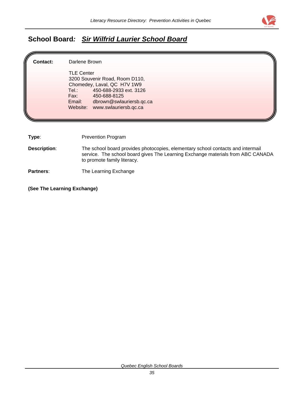

## **School Board***: Sir Wilfrid Laurier School Board*

| Contact:            | Darlene Brown                                                                                                                                                                                     |  |
|---------------------|---------------------------------------------------------------------------------------------------------------------------------------------------------------------------------------------------|--|
|                     | <b>TLE Center</b><br>3200 Souvenir Road, Room D110,                                                                                                                                               |  |
|                     | Chomedey, Laval, QC H7V 1W9<br>450-688-2933 ext. 3126<br>Tel.: Tel                                                                                                                                |  |
|                     | Fax: Fax:<br>450-688-8125                                                                                                                                                                         |  |
|                     | Email:<br>dbrown@swlauriersb.qc.ca<br>Website: www.swlauriersb.qc.ca                                                                                                                              |  |
|                     |                                                                                                                                                                                                   |  |
|                     |                                                                                                                                                                                                   |  |
| Type:               | <b>Prevention Program</b>                                                                                                                                                                         |  |
| <b>Description:</b> | The school board provides photocopies, elementary school contacts and intermail<br>service. The school board gives The Learning Exchange materials from ABC CANADA<br>to promote family literacy. |  |

**Partners:** The Learning Exchange

**(See The Learning Exchange)**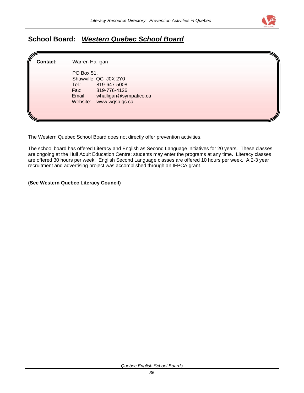

## **School Board:** *Western Quebec School Board*

| ll<br><b>Contact:</b> | Warren Halligan                                                                                                                                        |  |  |  |  |
|-----------------------|--------------------------------------------------------------------------------------------------------------------------------------------------------|--|--|--|--|
|                       | PO Box 51,<br>Shawville, QC J0X 2Y0<br>Tel.:<br>819-647-5008<br>Fax:<br>819-776-4126<br>whalligan@sympatico.ca<br>Email:<br>Website:<br>www.wqsb.qc.ca |  |  |  |  |

The Western Quebec School Board does not directly offer prevention activities.

The school board has offered Literacy and English as Second Language initiatives for 20 years. These classes are ongoing at the Hull Adult Education Centre; students may enter the programs at any time. Literacy classes are offered 30 hours per week. English Second Language classes are offered 10 hours per week. A 2-3 year recruitment and advertising project was accomplished through an IFPCA grant.

#### **(See Western Quebec Literacy Council)**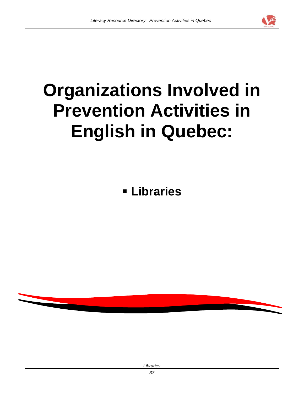

# **Organizations Involved in Prevention Activities in English in Quebec:**

**Libraries**



*Libraries*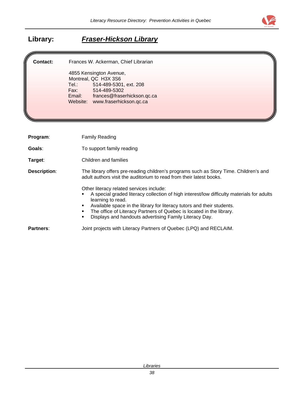

| <b>Contact:</b>     | Frances W. Ackerman, Chief Librarian                                                                                                                                                                                    |  |
|---------------------|-------------------------------------------------------------------------------------------------------------------------------------------------------------------------------------------------------------------------|--|
|                     | 4855 Kensington Avenue,                                                                                                                                                                                                 |  |
|                     | Montreal, QC H3X 3S6<br>Tel.: Tel<br>514-489-5301, ext. 208                                                                                                                                                             |  |
|                     | Fax:<br>514-489-5302                                                                                                                                                                                                    |  |
|                     | frances@fraserhickson.qc.ca<br>Email:                                                                                                                                                                                   |  |
|                     | Website: www.fraserhickson.qc.ca                                                                                                                                                                                        |  |
|                     |                                                                                                                                                                                                                         |  |
|                     |                                                                                                                                                                                                                         |  |
| Program:            | <b>Family Reading</b>                                                                                                                                                                                                   |  |
| Goals:              | To support family reading                                                                                                                                                                                               |  |
| Target:             | Children and families                                                                                                                                                                                                   |  |
| <b>Description:</b> | The library offers pre-reading children's programs such as Story Time. Children's and<br>adult authors visit the auditorium to read from their latest books.                                                            |  |
|                     | Other literacy related services include:<br>A special graded literacy collection of high interest/low difficulty materials for adults<br>learning to read.                                                              |  |
|                     | Available space in the library for literacy tutors and their students.<br>٠<br>The office of Literacy Partners of Quebec is located in the library.<br>٠<br>Displays and handouts advertising Family Literacy Day.<br>٠ |  |
| Partners:           | Joint projects with Literacy Partners of Quebec (LPQ) and RECLAIM.                                                                                                                                                      |  |

## **Library:** *Fraser-Hickson Library*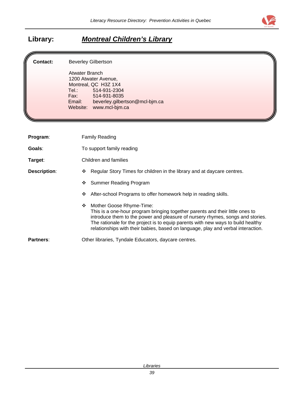

## **Library:** *Montreal Children's Library*

#### **Contact:** Beverley Gilbertson

Atwater Branch 1200 Atwater Avenue, Montreal, QC H3Z 1X4<br>Tel.: 514-931-230 Tel.: 514-931-2304 Fax: 514-931-8035<br>Email: beverley.gilber beverley.gilbertson@mcl-bjm.ca Website: [www.mcl-bjm.ca](http://www.mcl-bjm.ca/)

| Program:            | <b>Family Reading</b>                                                                                                                                                                                                                                                                                                                                                    |  |
|---------------------|--------------------------------------------------------------------------------------------------------------------------------------------------------------------------------------------------------------------------------------------------------------------------------------------------------------------------------------------------------------------------|--|
| Goals:              | To support family reading                                                                                                                                                                                                                                                                                                                                                |  |
| Target:             | Children and families                                                                                                                                                                                                                                                                                                                                                    |  |
| <b>Description:</b> | Regular Story Times for children in the library and at daycare centres.<br>❖                                                                                                                                                                                                                                                                                             |  |
|                     | Summer Reading Program<br>❖                                                                                                                                                                                                                                                                                                                                              |  |
|                     | After-school Programs to offer homework help in reading skills.<br>❖                                                                                                                                                                                                                                                                                                     |  |
|                     | Mother Goose Rhyme-Time:<br>❖<br>This is a one-hour program bringing together parents and their little ones to<br>introduce them to the power and pleasure of nursery rhymes, songs and stories.<br>The rationale for the project is to equip parents with new ways to build healthy<br>relationships with their babies, based on language, play and verbal interaction. |  |
| Partners:           | Other libraries, Tyndale Educators, daycare centres.                                                                                                                                                                                                                                                                                                                     |  |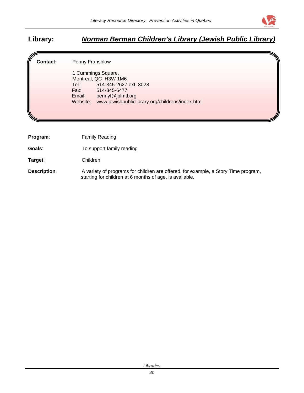

## **Library:** *Norman Berman Children's Library (Jewish Public Library)*

**Contact:** Penny Fransblow

 1 Cummings Square, Montreal, QC H3W 1M6<br>Tel.: 514-345-2627 514-345-2627 ext. 3028 Fax: 514-345-6477 Email: pennyf@jplmtl.org Website: www.jewishpubliclibrary.org/childrens/index.html

**Program:** Family Reading

**Goals:** To support family reading

**Target**: Children

**Description:** A variety of programs for children are offered, for example, a Story Time program, starting for children at 6 months of age, is available.

*Libraries*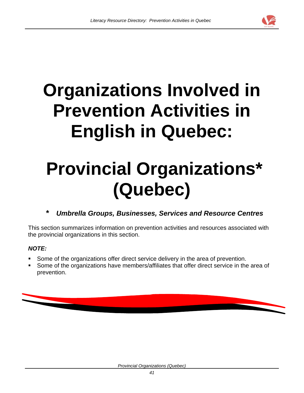

# **Organizations Involved in Prevention Activities in English in Quebec:**

## **Provincial Organizations\* (Quebec)**

## **\*** *Umbrella Groups, Businesses, Services and Resource Centres*

This section summarizes information on prevention activities and resources associated with the provincial organizations in this section.

#### *NOTE:*

- Some of the organizations offer direct service delivery in the area of prevention.
- Some of the organizations have members/affiliates that offer direct service in the area of prevention.

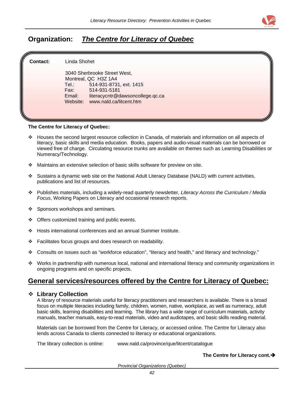

## **Organization:** *The Centre for Literacy of Quebec*

| ll<br><b>Contact:</b> | Linda Shohet         |                                  |  |
|-----------------------|----------------------|----------------------------------|--|
|                       |                      | 3040 Sherbrooke Street West,     |  |
|                       | Montreal, QC H3Z 1A4 |                                  |  |
|                       | Tel.: Tel            | 514-931-8731, ext. 1415          |  |
|                       | Fax:                 | 514-931-5181                     |  |
|                       | Email:               | literacycntr@dawsoncollege.qc.ca |  |
|                       |                      | Website: www.nald.ca/litcent.htm |  |
|                       |                      |                                  |  |
|                       |                      |                                  |  |

#### **The Centre for Literacy of Quebec:**

- Houses the second largest resource collection in Canada, of materials and information on all aspects of literacy, basic skills and media education. Books, papers and audio-visual materials can be borrowed or viewed free of charge. Circulating resource trunks are available on themes such as Learning Disabilities or Numeracy/Technology.
- Maintains an extensive selection of basic skills software for preview on site.
- Sustains a dynamic web site on the National Adult Literacy Database (NALD) with current activities, publications and list of resources.
- Publishes materials, including a widely-read quarterly newsletter*, Literacy Across the Curriculum / Media Focus*, Working Papers on Literacy and occasional research reports.
- ❖ Sponsors workshops and seminars.
- ❖ Offers customized training and public events.
- Hosts international conferences and an annual Summer Institute.
- Facilitates focus groups and does research on readability.
- Consults on issues such as "workforce education", "literacy and health," and literacy and technology."
- Works in partnership with numerous local, national and international literacy and community organizations in ongoing programs and on specific projects.

#### **General services/resources offered by the Centre for Literacy of Quebec:**

**Eibrary Collection**<br>A library of resource materials useful for literacy practitioners and researchers is available. There is a broad focus on multiple literacies including family, children, women, native, workplace, as well as numeracy, adult basic skills, learning disabilities and learning. The library has a wide range of curriculum materials, activity manuals, teacher manuals, easy-to-read materials, video and audiotapes, and basic skills reading material.

Materials can be borrowed from the Centre for Literacy, or accessed online. The Centre for Literacy also lends across Canada to clients connected to literacy or educational organizations.

The library collection is online: [www.nald.ca/province/que/litcent/catalogue](http://www.nald.ca/province/que/litcent/catalogue)

The Centre for Literacy cont.<sup>1</sup>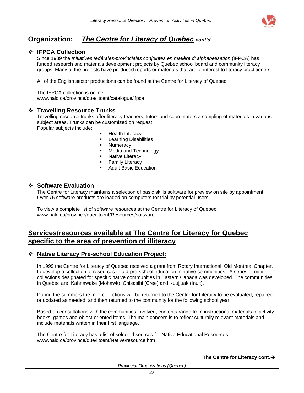

## **Organization:** *The Centre for Literacy of Quebec cont'd*

#### **IFPCA Collection**

Since 1989 the *Initiatives fédérales-provinciales conjointes en matière d' alphabétisation* (IFPCA) has funded research and materials development projects by Quebec school board and community literacy groups. Many of the projects have produced reports or materials that are of interest to literacy practitioners.

All of the English sector productions can be found at the Centre for Literacy of Quebec.

The IFPCA collection is online: [www.nald.ca/province/que/litcent/catalogue/ifpca](http://www.nald.ca/province/que/litcent/catalogue/ifpca)

#### **Travelling Resource Trunks**

Travelling resource trunks offer literacy teachers, tutors and coordinators a sampling of materials in various subject areas. Trunks can be customized on request.

Popular subjects include:

- Health Literacy
- **-** Learning Disabilities
- **Numeracy**
- Media and Technology
- Native Literacy
- Family Literacy
- Adult Basic Education

#### **Software Evaluation**

The Centre for Literacy maintains a selection of basic skills software for preview on site by appointment. Over 75 software products are loaded on computers for trial by potential users.

To view a complete list of software resources at the Centre for Literacy of Quebec: [www.nald.ca/province/que/litcent/Resources/software](http://www.nald.ca/province/que/litcent/Resources/software)

#### **Services/resources available at The Centre for Literacy for Quebec specific to the area of prevention of illiteracy**

#### **Native Literacy Pre-school Education Project:**

In 1999 the Centre for Literacy of Quebec received a grant from Rotary International, Old Montreal Chapter, to develop a collection of resources to aid-pre-school education in native communities. A series of minicollections designated for specific native communities in Eastern Canada was developed. The communities in Quebec are: Kahnawake (Mohawk), Chisasibi (Cree) and Kuujjuak (Inuit).

During the summers the mini-collections will be returned to the Centre for Literacy to be evaluated, repaired or updated as needed, and then returned to the community for the following school year.

Based on consultations with the communities involved, contents range from instructional materials to activity books, games and object-oriented items. The main concern is to reflect culturally relevant materials and include materials written in their first language.

The Centre for Literacy has a list of selected sources for Native Educational Resources: [www.nald.ca/province/que/litcent/Native/resource.htm](http://www.nald.ca/province/que/litcent/Native/resource.htm)

#### The Centre for Literacy cont.<sup>1</sup>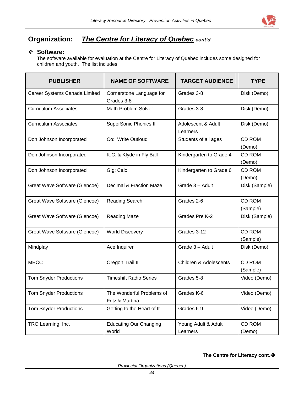

## **Organization:** *The Centre for Literacy of Quebec cont'd*

#### **Software:**

The software available for evaluation at the Centre for Literacy of Quebec includes some designed for children and youth. The list includes:

| <b>PUBLISHER</b>              | <b>NAME OF SOFTWARE</b>                      | <b>TARGET AUDIENCE</b>            | <b>TYPE</b>               |
|-------------------------------|----------------------------------------------|-----------------------------------|---------------------------|
| Career Systems Canada Limited | Cornerstone Language for<br>Grades 3-8       | Grades 3-8                        | Disk (Demo)               |
| <b>Curriculum Associates</b>  | <b>Math Problem Solver</b>                   | Grades 3-8                        | Disk (Demo)               |
| <b>Curriculum Associates</b>  | <b>SuperSonic Phonics II</b>                 | Adolescent & Adult<br>Learners    | Disk (Demo)               |
| Don Johnson Incorporated      | Co: Write Outloud                            | Students of all ages              | <b>CD ROM</b><br>(Demo)   |
| Don Johnson Incorporated      | K.C. & Klyde in Fly Ball                     | Kindergarten to Grade 4           | <b>CD ROM</b><br>(Demo)   |
| Don Johnson Incorporated      | Gig: Calc                                    | Kindergarten to Grade 6           | CD ROM<br>(Demo)          |
| Great Wave Software (Glencoe) | Decimal & Fraction Maze                      | Grade 3 - Adult                   | Disk (Sample)             |
| Great Wave Software (Glencoe) | <b>Reading Search</b>                        | Grades 2-6                        | <b>CD ROM</b><br>(Sample) |
| Great Wave Software (Glencoe) | <b>Reading Maze</b>                          | Grades Pre K-2                    | Disk (Sample)             |
| Great Wave Software (Glencoe) | <b>World Discovery</b>                       | Grades 3-12                       | <b>CD ROM</b><br>(Sample) |
| Mindplay                      | Ace Inquirer                                 | Grade 3 - Adult                   | Disk (Demo)               |
| <b>MECC</b>                   | Oregon Trail II                              | <b>Children &amp; Adolescents</b> | CD ROM<br>(Sample)        |
| <b>Tom Snyder Productions</b> | <b>Timeshift Radio Series</b>                | Grades 5-8                        | Video (Demo)              |
| <b>Tom Snyder Productions</b> | The Wonderful Problems of<br>Fritz & Martina | Grades K-6                        | Video (Demo)              |
| <b>Tom Snyder Productions</b> | Getting to the Heart of It                   | Grades 6-9                        | Video (Demo)              |
| TRO Learning, Inc.            | <b>Educating Our Changing</b><br>World       | Young Adult & Adult<br>Learners   | CD ROM<br>(Demo)          |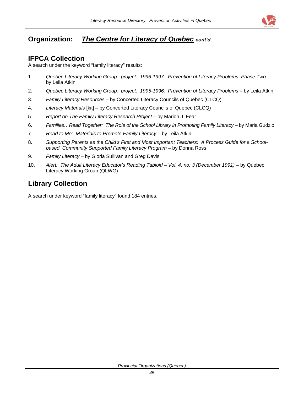

## **Organization:** *The Centre for Literacy of Quebec cont'd*

#### **IFPCA Collection**

A search under the keyword "family literacy" results:

- 1. *Quebec Literacy Working Group: project: 1996-1997: Prevention of Literacy Problems: Phase Two* by Leila Atkin
- 2. *Quebec Literacy Working Group: project: 1995-1996: Prevention of Literacy Problems* by Leila Atkin
- 3. *Family Literacy Resources* by Concerted Literacy Councils of Quebec (CLCQ)
- 4. *Literacy Materials* [kit] by Concerted Literacy Councils of Quebec (CLCQ)
- 5. *Report on The Family Literacy Research Project* by Marion J. Fear
- 6. *Families…Read Together: The Role of the School Library in Promoting Family Literacy* by Maria Gudzio
- 7. *Read to Me: Materials to Promote Family Literacy* by Leila Atkin
- 8. *Supporting Parents as the Child's First and Most Important Teachers: A Process Guide for a Schoolbased, Community Supported Family Literacy Program* – by Donna Ross
- 9. *Family Literacy* by Gloria Sullivan and Greg Davis
- 10. *Alert: The Adult Literacy Educator's Reading Tabloid Vol. 4, no. 3 (December 1991)* by Quebec Literacy Working Group (QLWG)

## **Library Collection**

A search under keyword "family literacy" found 184 entries.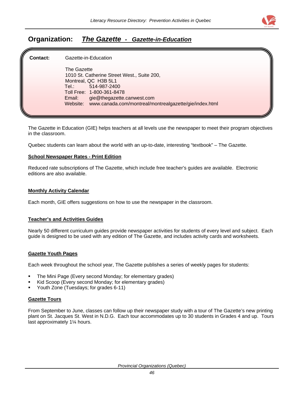

### **Organization:** *The Gazette - Gazette-in-Education*

**Contact:** Gazette-in-Education The Gazette 1010 St. Catherine Street West., Suite 200, Montreal, QC H3B 5L1 Tel.: 514-987-2400 Toll Free: 1-800-361-8478 Email: gie@thegazette.canwest.com Website: www.canada.com/montreal/montrealgazette/gie/index.html

The Gazette in Education (GIE) helps teachers at all levels use the newspaper to meet their program objectives in the classroom.

Quebec students can learn about the world with an up-to-date, interesting "textbook" – The Gazette.

#### **School Newspaper Rates - Print Edition**

Reduced rate subscriptions of The Gazette, which include free teacher's guides are available. Electronic editions are also available.

#### **Monthly Activity Calendar**

Each month, GIE offers suggestions on how to use the newspaper in the classroom.

#### **Teacher's and Activities Guides**

Nearly 50 different curriculum guides provide newspaper activities for students of every level and subject. Each guide is designed to be used with any edition of The Gazette, and includes activity cards and worksheets.

#### **Gazette Youth Pages**

Each week throughout the school year, The Gazette publishes a series of weekly pages for students:

- The Mini Page (Every second Monday; for elementary grades)
- Kid Scoop (Every second Monday; for elementary grades)
- Youth Zone (Tuesdays; for grades 6-11)

#### **Gazette Tours**

From September to June, classes can follow up their newspaper study with a tour of The Gazette's new printing plant on St. Jacques St. West in N.D.G. Each tour accommodates up to 30 students in Grades 4 and up. Tours last approximately 1¼ hours.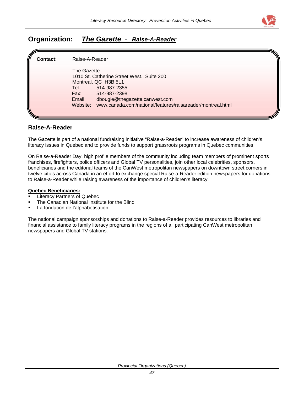

### **Organization:** *The Gazette - Raise-A-Reader*

| ſ<br>Contact: | Raise-A-Reader                                                                                                                                                                                                                                                |  |
|---------------|---------------------------------------------------------------------------------------------------------------------------------------------------------------------------------------------------------------------------------------------------------------|--|
|               | The Gazette<br>1010 St. Catherine Street West., Suite 200,<br>Montreal, QC H3B 5L1<br>Tel.: T<br>514-987-2355<br>514-987-2398<br>Fax: F<br>dbougie@thegazette.canwest.com<br>Email:<br>www.canada.com/national/features/raisareader/montreal.html<br>Website: |  |

#### **Raise-A-Reader**

The Gazette is part of a national fundraising initiative "Raise-a-Reader" to increase awareness of children's literacy issues in Quebec and to provide funds to support grassroots programs in Quebec communities.

On Raise-a-Reader Day, high profile members of the community including team members of prominent sports franchises, firefighters, police officers and Global TV personalities, join other local celebrities, sponsors, beneficiaries and the editorial teams of the CanWest metropolitan newspapers on downtown street corners in twelve cities across Canada in an effort to exchange special Raise-a-Reader edition newspapers for donations to Raise-a-Reader while raising awareness of the importance of children's literacy.

#### **Quebec Beneficiaries:**

- Literacy Partners of Quebec
- The Canadian National Institute for the Blind
- La fondation de l'alphabétisation

The national campaign sponsorships and donations to Raise-a-Reader provides resources to libraries and financial assistance to family literacy programs in the regions of all participating CanWest metropolitan newspapers and Global TV stations.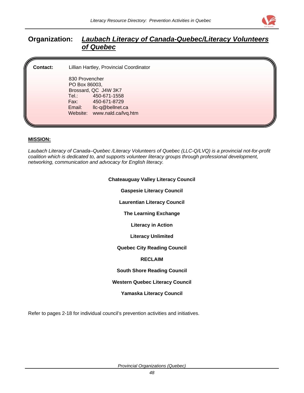

### **Organization:** *Laubach Literacy of Canada-Quebec/Literacy Volunteers of Quebec*

**Contact:** Lillian Hartley, Provincial Coordinator 830 Provencher

PO Box 86003, Brossard, QC J4W 3K7 Tel.: 450-671-1558<br>Fax: 450-671-8729 Fax: 450-671-8729 Email: llc-q@bellnet.ca Website: www.nald.ca/lvq.htm

#### **MISSION:**

*Laubach Literacy of Canada–Quebec /Literacy Volunteers of Quebec (LLC-Q/LVQ) is a provincial not-for-profit coalition which is dedicated to, and supports volunteer literacy groups through professional development, networking, communication and advocacy for English literacy.*

| <b>Chateauguay Valley Literacy Council</b> |
|--------------------------------------------|
| <b>Gaspesie Literacy Council</b>           |
| <b>Laurentian Literacy Council</b>         |
| <b>The Learning Exchange</b>               |
| <b>Literacy in Action</b>                  |
| <b>Literacy Unlimited</b>                  |
| <b>Quebec City Reading Council</b>         |
| <b>RECLAIM</b>                             |
| <b>South Shore Reading Council</b>         |
| <b>Western Quebec Literacy Council</b>     |
| <b>Yamaska Literacy Council</b>            |
|                                            |

Refer to pages 2-18 for individual council's prevention activities and initiatives.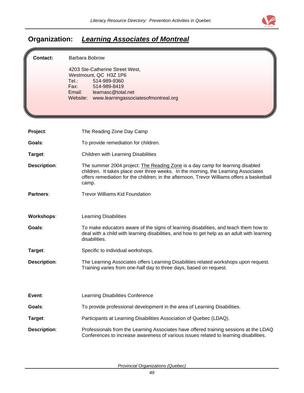

## **Organization:** *Learning Associates of Montreal*

| Contact:            | Barbara Bobrow<br>4203 Ste-Catherine Street West,<br>Westmount, QC H3Z 1P6<br>Tel:<br>514-989-9360<br>Fax:<br>514-989-8419<br>Email:<br>learnasc@total.net<br>www.learningassociatesofmontreal.org<br>Website:                                                             |
|---------------------|----------------------------------------------------------------------------------------------------------------------------------------------------------------------------------------------------------------------------------------------------------------------------|
| Project:            | The Reading Zone Day Camp                                                                                                                                                                                                                                                  |
| Goals:              | To provide remediation for children.                                                                                                                                                                                                                                       |
| Target:             | Children with Learning Disabilities                                                                                                                                                                                                                                        |
| <b>Description:</b> | The summer 2004 project: The Reading Zone is a day camp for learning disabled<br>children. It takes place over three weeks. In the morning, the Learning Associates<br>offers remediation for the children; in the afternoon, Trevor Williams offers a basketball<br>camp. |
| Partners:           | <b>Trevor Williams Kid Foundation</b>                                                                                                                                                                                                                                      |
| <b>Workshops:</b>   | <b>Learning Disabilities</b>                                                                                                                                                                                                                                               |
| Goals:              | To make educators aware of the signs of learning disabilities, and teach them how to<br>deal with a child with learning disabilities, and how to get help as an adult with learning<br>disabilities.                                                                       |
| Target:             | Specific to individual workshops.                                                                                                                                                                                                                                          |
| <b>Description:</b> | The Learning Associates offers Learning Disabilities related workshops upon request.<br>Training varies from one-half day to three days, based on request.                                                                                                                 |
| Event:              | Learning Disabilities Conference                                                                                                                                                                                                                                           |
| Goals:              | To provide professional development in the area of Learning Disabilities.                                                                                                                                                                                                  |
| Target:             | Participants at Learning Disabilities Association of Quebec (LDAQ).                                                                                                                                                                                                        |
| <b>Description:</b> | Professionals from the Learning Associates have offered training sessions at the LDAQ<br>Conferences to increase awareness of various issues related to learning disabilities.                                                                                             |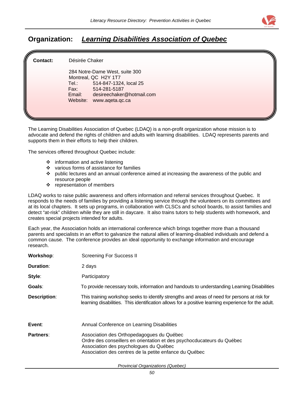

## **Organization:** *Learning Disabilities Association of Quebec*

| ll.<br><b>Contact:</b> | Désirée Chaker                                                                                                                                                                              |  |
|------------------------|---------------------------------------------------------------------------------------------------------------------------------------------------------------------------------------------|--|
|                        | 284 Notre-Dame West, suite 300<br>Montreal, QC H2Y 1T7<br>514-847-1324, local 25<br>Tel.: Tel<br>Fax:<br>514-281-5187<br>desireechaker@hotmail.com<br>Email:<br>Website:<br>www.aqeta.qc.ca |  |
|                        |                                                                                                                                                                                             |  |

The Learning Disabilities Association of Quebec (LDAQ) is a non-profit organization whose mission is to advocate and defend the rights of children and adults with learning disabilities. LDAQ represents parents and supports them in their efforts to help their children.

The services offered throughout Quebec include:

- $\div$  information and active listening
- ❖ various forms of assistance for families
- $\div$  public lectures and an annual conference aimed at increasing the awareness of the public and resource people
- $\div$  representation of members

LDAQ works to raise public awareness and offers information and referral services throughout Quebec. It responds to the needs of families by providing a listening service through the volunteers on its committees and at its local chapters. It sets up programs, in collaboration with CLSCs and school boards, to assist families and detect "at-risk" children while they are still in daycare. It also trains tutors to help students with homework, and creates special projects intended for adults.

Each year, the Association holds an international conference which brings together more than a thousand parents and specialists in an effort to galvanize the natural allies of learning-disabled individuals and defend a common cause. The conference provides an ideal opportunity to exchange information and encourage research.

| Workshop:        | <b>Screening For Success II</b>                                                                                                                                                                                         |
|------------------|-------------------------------------------------------------------------------------------------------------------------------------------------------------------------------------------------------------------------|
| <b>Duration:</b> | 2 days                                                                                                                                                                                                                  |
| Style:           | Participatory                                                                                                                                                                                                           |
| Goals:           | To provide necessary tools, information and handouts to understanding Learning Disabilities                                                                                                                             |
| Description:     | This training workshop seeks to identify strengths and areas of need for persons at risk for<br>learning disabilities. This identification allows for a positive learning experience for the adult.                     |
| Event:           | Annual Conference on Learning Disabilities                                                                                                                                                                              |
| Partners:        | Association des Orthopedagogues du Québec<br>Ordre des conseillers en orientation et des psychocducateurs du Québec<br>Association des psychologues du Québec<br>Association des centres de la petite enfance du Québec |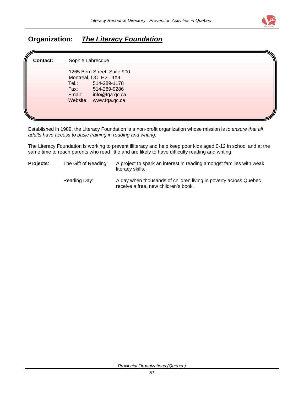

## **Organization:** *The Literacy Foundation*

| ll,<br><b>Contact:</b> | Sophie Labrecque                                                                                                                                               |  |
|------------------------|----------------------------------------------------------------------------------------------------------------------------------------------------------------|--|
|                        | 1265 Berri Street, Suite 900<br>Montreal, QC H2L 4X4<br>Tel.:<br>514-289-1178<br>Fax:<br>514-289-9286<br>Email:<br>info@fqa.qc.ca<br>www.fqa.qc.ca<br>Website: |  |

Established in 1989, the Literacy Foundation is a non-profit organization whose mission is *to ensure that all adults have access to basic training in reading and writing.*

The Literacy Foundation is working to prevent illiteracy and help keep poor kids aged 0-12 in school and at the same time to reach parents who read little and are likely to have difficulty reading and writing.

**Projects**: The Gift of Reading: A project to spark an interest in reading amongst families with weak literacy skills. Reading Day: A day when thousands of children living in poverty across Quebec receive a free, new children's book.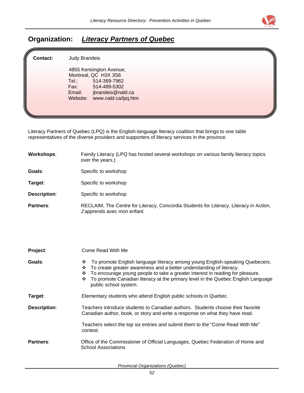

## **Organization:** *Literacy Partners of Quebec*

| lli<br><b>Contact:</b> | Judy Brandeis                                                                                                                                                      |  |
|------------------------|--------------------------------------------------------------------------------------------------------------------------------------------------------------------|--|
|                        | 4855 Kensington Avenue,<br>Montreal, QC H3X 3S6<br>514-369-7962<br>Tel.:<br>Fax:<br>514-489-5302<br>jbrandeis@nald.ca<br>Email:<br>www.nald.ca/lpq.htm<br>Website: |  |

Literacy Partners of Quebec (LPQ) is the English-language literacy coalition that brings to one table representatives of the diverse providers and supporters of literacy services in the province.

| Workshops:   | Family Literacy (LPQ has hosted several workshops on various family literacy topics<br>over the years.)               |
|--------------|-----------------------------------------------------------------------------------------------------------------------|
| Goals:       | Specific to workshop                                                                                                  |
| Target:      | Specific to workshop                                                                                                  |
| Description: | Specific to workshop                                                                                                  |
| Partners:    | RECLAIM, The Centre for Literacy, Concordia Students for Literacy, Literacy in Action,<br>J'apprends avec mon enfant. |

| Project:            | Come Read With Me                                                                                                                                                                                                                                                                                                                                                  |  |  |
|---------------------|--------------------------------------------------------------------------------------------------------------------------------------------------------------------------------------------------------------------------------------------------------------------------------------------------------------------------------------------------------------------|--|--|
| Goals:              | To promote English language literacy among young English-speaking Quebecers.<br>❖<br>To create greater awareness and a better understanding of literacy.<br>❖<br>To encourage young people to take a greater interest in reading for pleasure.<br>❖<br>❖ To promote Canadian literacy at the primary level in the Quebec English Language<br>public school system. |  |  |
| Target:             | Elementary students who attend English public schools in Quebec.                                                                                                                                                                                                                                                                                                   |  |  |
| <b>Description:</b> | Teachers introduce students to Canadian authors. Students choose their favorite<br>Canadian author, book, or story and write a response on what they have read.                                                                                                                                                                                                    |  |  |
|                     | Teachers select the top six entries and submit them to the "Come Read With Me"<br>contest.                                                                                                                                                                                                                                                                         |  |  |
| Partners:           | Office of the Commissioner of Official Languages, Quebec Federation of Home and<br>School Associations                                                                                                                                                                                                                                                             |  |  |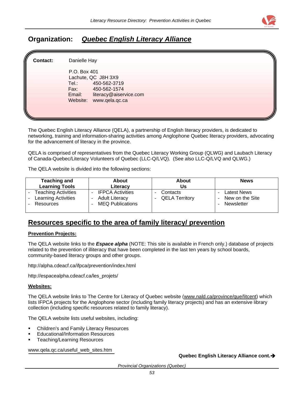

## **Organization:** *Quebec English Literacy Alliance*

| lli<br><b>Contact:</b> | Danielle Hay                                                                                                                                           |  |
|------------------------|--------------------------------------------------------------------------------------------------------------------------------------------------------|--|
|                        | P.O. Box 401<br>Lachute, QC J8H 3X9<br>450-562-3719<br>Tel.:<br>Fax:<br>450-562-1574<br>literacy@aiservice.com<br>Email:<br>Website:<br>www.qela.qc.ca |  |

The Quebec English Literacy Alliance (QELA), a partnership of English literacy providers, is dedicated to networking, training and information-sharing activities among Anglophone Quebec literacy providers, advocating for the advancement of literacy in the province.

QELA is comprised of representatives from the Quebec Literacy Working Group (QLWG) and Laubach Literacy of Canada-Quebec/Literacy Volunteers of Quebec (LLC-Q/LVQ). (See also LLC-Q/LVQ and QLWG.)

The QELA website is divided into the following sections:

| <b>Teaching and</b>                                         | <b>About</b>                                                                                            | About                             | <b>News</b>                                         |
|-------------------------------------------------------------|---------------------------------------------------------------------------------------------------------|-----------------------------------|-----------------------------------------------------|
| <b>Learning Tools</b>                                       | Literacy                                                                                                | Us                                |                                                     |
| - Teaching Activities<br>- Learning Activities<br>Resources | <b>IFPCA Activities</b><br><b>Adult Literacy</b><br>$\overline{\phantom{a}}$<br><b>MEQ Publications</b> | Contacts<br><b>QELA Territory</b> | <b>Latest News</b><br>New on the Site<br>Newsletter |

## **Resources specific to the area of family literacy/ prevention**

#### **Prevention Projects:**

The QELA website links to the *Espace alpha* (NOTE: This site is available in French only.) database of projects related to the prevention of illiteracy that have been completed in the last ten years by school boards, community-based literacy groups and other groups.

<http://alpha.cdeacf.ca/ifpca/prevention/index.html>

[http://espacealpha.cdeacf.ca/les\\_projets/](http://espacealpha.cdeacf.ca/les_projets/)

#### **Websites:**

The QELA website links to The Centre for Literacy of Quebec website ([www.nald.ca/province/que/litcent](http://www.nald.ca/province/que/litcent)) which lists IFPCA projects for the Anglophone sector (including family literacy projects) and has an extensive library collection (including specific resources related to family literacy).

The QELA website lists useful websites, including:

- Children's and Family Literacy Resources
- Educational/Information Resources
- Teaching/Learning Resources

[www.qela.qc.ca/useful\\_web\\_sites.htm](http://www.qela.qc.ca/useful_web_sites.htm)

**Quebec English Literacy Alliance cont.**Î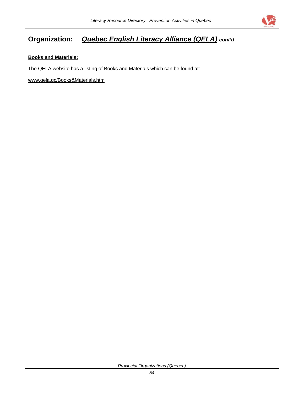

## **Organization:** *Quebec English Literacy Alliance (QELA) cont'd*

#### **Books and Materials:**

The QELA website has a listing of Books and Materials which can be found at:

[www.qela.qc/Books&Materials.htm](http://www.qela.qc/Books&Materials.htm)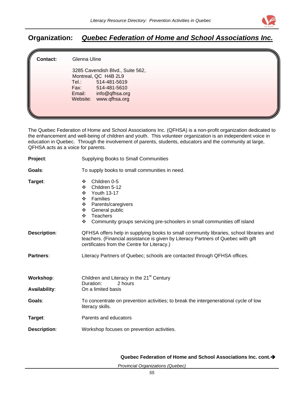

## **Organization:** *Quebec Federation of Home and School Associations Inc.*

| ll<br><b>Contact:</b> | Glenna Uline                                                                                                                                                    |  |
|-----------------------|-----------------------------------------------------------------------------------------------------------------------------------------------------------------|--|
|                       | 3285 Cavendish Blvd., Suite 562,<br>Montreal, QC H4B 2L9<br>Tel.:<br>514-481-5619<br>Fax:<br>514-481-5610<br>info@qfhsa.org<br>Email:<br>Website: www.qfhsa.org |  |

The Quebec Federation of Home and School Associations Inc. (QFHSA) is a non-profit organization dedicated to the enhancement and well-being of children and youth. This volunteer organization is an independent voice in education in Quebec. Through the involvement of parents, students, educators and the community at large, QFHSA acts as a voice for parents.

| Project:                          | <b>Supplying Books to Small Communities</b>                                                                                                                                                                                             |
|-----------------------------------|-----------------------------------------------------------------------------------------------------------------------------------------------------------------------------------------------------------------------------------------|
| Goals:                            | To supply books to small communities in need.                                                                                                                                                                                           |
| Target:                           | Children 0-5<br>❖<br>Children 5-12<br>❖<br><b>Youth 13-17</b><br>❖<br>Families<br>❖<br>Parents/caregivers<br>❖<br>General public<br>❖<br>Teachers<br>❖<br>Community groups servicing pre-schoolers in small communities off island<br>❖ |
| <b>Description:</b>               | QFHSA offers help in supplying books to small community libraries, school libraries and<br>teachers. (Financial assistance is given by Literacy Partners of Quebec with gift<br>certificates from the Centre for Literacy.)             |
| <b>Partners:</b>                  | Literacy Partners of Quebec; schools are contacted through QFHSA offices.                                                                                                                                                               |
| Workshop:<br><b>Availability:</b> | Children and Literacy in the 21 <sup>st</sup> Century<br>Duration:<br>2 hours<br>On a limited basis                                                                                                                                     |
| Goals:                            | To concentrate on prevention activities; to break the intergenerational cycle of low<br>literacy skills.                                                                                                                                |
| Target:                           | Parents and educators                                                                                                                                                                                                                   |
| <b>Description:</b>               | Workshop focuses on prevention activities.                                                                                                                                                                                              |

**Quebec Federation of Home and School Associations Inc. cont.**Î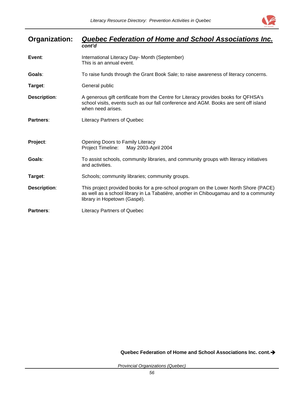

| Organization:       | Quebec Federation of Home and School Associations Inc.<br>cont'd                                                                                                                                               |
|---------------------|----------------------------------------------------------------------------------------------------------------------------------------------------------------------------------------------------------------|
| Event:              | International Literacy Day- Month (September)<br>This is an annual event.                                                                                                                                      |
| Goals:              | To raise funds through the Grant Book Sale; to raise awareness of literacy concerns.                                                                                                                           |
| Target:             | General public                                                                                                                                                                                                 |
| <b>Description:</b> | A generous gift certificate from the Centre for Literacy provides books for QFHSA's<br>school visits, events such as our fall conference and AGM. Books are sent off island<br>when need arises.               |
| Partners:           | <b>Literacy Partners of Quebec</b>                                                                                                                                                                             |
| Project:            | Opening Doors to Family Literacy<br>May 2003-April 2004<br>Project Timeline:                                                                                                                                   |
| Goals:              | To assist schools, community libraries, and community groups with literacy initiatives<br>and activities.                                                                                                      |
| Target:             | Schools; community libraries; community groups.                                                                                                                                                                |
| <b>Description:</b> | This project provided books for a pre-school program on the Lower North Shore (PACE)<br>as well as a school library in La Tabatière, another in Chibougamau and to a community<br>library in Hopetown (Gaspé). |
| Partners:           | <b>Literacy Partners of Quebec</b>                                                                                                                                                                             |

**Quebec Federation of Home and School Associations Inc. cont.**Î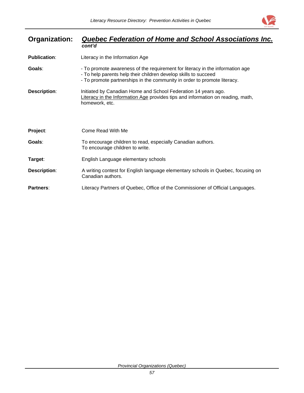

| Organization:       | Quebec Federation of Home and School Associations Inc.                                                                                                                                                                       |
|---------------------|------------------------------------------------------------------------------------------------------------------------------------------------------------------------------------------------------------------------------|
|                     | cont'd                                                                                                                                                                                                                       |
| <b>Publication:</b> | Literacy in the Information Age                                                                                                                                                                                              |
| Goals:              | - To promote awareness of the requirement for literacy in the information age<br>- To help parents help their children develop skills to succeed<br>- To promote partnerships in the community in order to promote literacy. |
| <b>Description:</b> | Initiated by Canadian Home and School Federation 14 years ago.<br>Literacy in the Information Age provides tips and information on reading, math,<br>homework, etc.                                                          |
| Project:            | Come Read With Me                                                                                                                                                                                                            |
| Goals:              | To encourage children to read, especially Canadian authors.<br>To encourage children to write.                                                                                                                               |
| Target:             | English Language elementary schools                                                                                                                                                                                          |
| <b>Description:</b> | A writing contest for English language elementary schools in Quebec, focusing on<br>Canadian authors.                                                                                                                        |
| Partners:           | Literacy Partners of Quebec, Office of the Commissioner of Official Languages.                                                                                                                                               |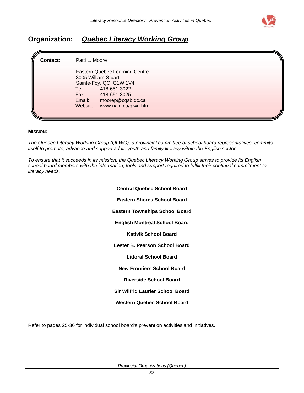

## **Organization:** *Quebec Literacy Working Group*

| <b>Contact:</b> | Patti L. Moore                                                                                                                                                                                  |  |
|-----------------|-------------------------------------------------------------------------------------------------------------------------------------------------------------------------------------------------|--|
|                 | Eastern Quebec Learning Centre<br>3005 William-Stuart<br>Sainte-Foy, QC G1W 1V4<br>418-651-3022<br>Tel.: T<br>Fax: 418-651-3025<br>moorep@cqsb.qc.ca<br>Email:<br>Website: www.nald.ca/qlwg.htm |  |

#### **MISSION:**

*The Quebec Literacy Working Group (QLWG), a provincial committee of school board representatives, commits itself to promote, advance and support adult, youth and family literacy within the English sector.* 

*To ensure that it succeeds in its mission, the Quebec Literacy Working Group strives to provide its English school board members with the information, tools and support required to fulfill their continual commitment to literacy needs.*

| <b>Central Quebec School Board</b>      |
|-----------------------------------------|
| Eastern Shores School Board             |
| <b>Eastern Townships School Board</b>   |
| <b>English Montreal School Board</b>    |
| Kativik School Board                    |
| Lester B. Pearson School Board          |
| <b>Littoral School Board</b>            |
| <b>New Frontiers School Board</b>       |
| <b>Riverside School Board</b>           |
| <b>Sir Wilfrid Laurier School Board</b> |
| Western Quebec School Board             |

Refer to pages 25-36 for individual school board's prevention activities and initiatives.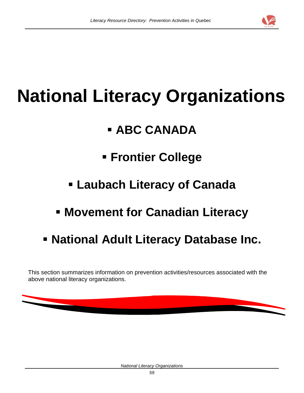

# **National Literacy Organizations**

## **ABC CANADA**

## **Frontier College**

- **Laubach Literacy of Canada**
- **Movement for Canadian Literacy**
- **National Adult Literacy Database Inc.**

This section summarizes information on prevention activities/resources associated with the above national literacy organizations.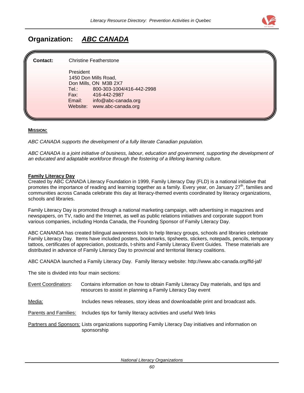

## **Organization:** *ABC CANADA*

#### **Contact:** Christine Featherstone

 President 1450 Don Mills Road, Don Mills, ON M3B 2X7 Tel.: 800-303-1004/416-442-2998 Fax: 416-442-2987 Email: info@abc-canada.org Website: www.abc-canada.org

#### **MISSION:**

*ABC CANADA supports the development of a fully literate Canadian population.* 

*ABC CANADA is a joint initiative of business, labour, education and government, supporting the development of an educated and adaptable workforce through the fostering of a lifelong learning culture.* 

#### **Family Literacy Day**

Created by ABC CANADA Literacy Foundation in 1999, Family Literacy Day (FLD) is a national initiative that promotes the importance of reading and learning together as a family. Every year, on January 27<sup>th</sup>, families and communities across Canada celebrate this day at literacy-themed events coordinated by literacy organizations, schools and libraries.

Family Literacy Day is promoted through a national marketing campaign, with advertising in magazines and newspapers, on TV, radio and the Internet, as well as public relations initiatives and corporate support from various companies, including Honda Canada, the Founding Sponsor of Family Literacy Day.

ABC CANANDA has created bilingual awareness tools to help literacy groups, schools and libraries celebrate Family Literacy Day. Items have included posters, bookmarks, tipsheets, stickers, notepads, pencils, temporary tattoos, certificates of appreciation, postcards, t-shirts and Family Literacy Event Guides. These materials are distributed in advance of Family Literacy Day to provincial and territorial literacy coalitions.

ABC CANADA launched a Family Literacy Day. Family literacy website: [http://www.a](http://www.fld-jaf.ca(/)bc-canada.org/fld-jaf/

The site is divided into four main sections:

| Event Coordinators: | Contains information on how to obtain Family Literacy Day materials, and tips and |
|---------------------|-----------------------------------------------------------------------------------|
|                     | resources to assist in planning a Family Literacy Day event                       |

Media: Includes news releases, story ideas and downloadable print and broadcast ads.

Parents and Families: Includes tips for family literacy activities and useful Web links

Partners and Sponsors: Lists organizations supporting Family Literacy Day initiatives and information on sponsorship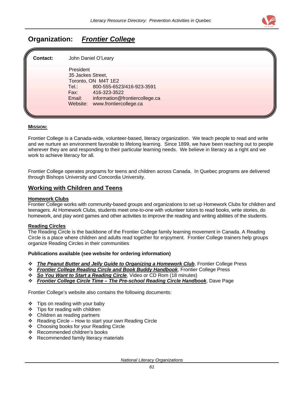

## **Organization:** *Frontier College*

| <b>Contact:</b> | John Daniel O'Leary                                                            |  |
|-----------------|--------------------------------------------------------------------------------|--|
|                 | President<br>35 Jackes Street,<br>Toronto, ON M4T 1E2                          |  |
|                 | 800-555-6523/416-923-3591<br>Tel:<br>Fax:<br>416-323-3522                      |  |
|                 | information@frontiercollege.ca<br>Email:<br>www.frontiercollege.ca<br>Website: |  |
|                 |                                                                                |  |

#### **MISSION:**

Frontier College is a Canada-wide, volunteer-based, literacy organization. We teach people to read and write and we nurture an environment favorable to lifelong learning. Since 1899, we have been reaching out to people wherever they are and responding to their particular learning needs. We believe in literacy as a right and we work to achieve literacy for all.

Frontier College operates programs for teens and children across Canada. In Quebec programs are delivered through Bishops University and Concordia University.

#### **Working with Children and Teens**

#### **Homework Clubs**

Frontier College works with community-based groups and organizations to set up Homework Clubs for children and teenagers. At Homework Clubs, students meet one-to-one with volunteer tutors to read books, write stories, do homework, and play word games and other activities to improve the reading and writing abilities of the students.

#### **Reading Circles**

The Reading Circle is the backbone of the Frontier College family learning movement in Canada. A Reading Circle is a place where children and adults read together for enjoyment. Frontier College trainers help groups organize Reading Circles in their communities

#### **Publications available (see website for ordering information)**

- *The Peanut Butter and Jelly Guide to Organizing a Homework Club*, Frontier College Press
- *Frontier College Reading Circle and Book Buddy Handbook*, Frontier College Press
- *So You Want to Start a Reading Circle*, Video or CD Rom (18 minutes)
- *Frontier College Circle Time The Pre-school Reading Circle Handbook*, Dave Page

Frontier College's website also contains the following documents:

- $\div$  Tips on reading with your baby
- $\div$  Tips for reading with children
- Children as reading partners
- $\div$  Reading Circle How to start your own Reading Circle
- ❖ Choosing books for your Reading Circle
- Recommended children's books
- ❖ Recommended family literacy materials

*National Literacy Organizations*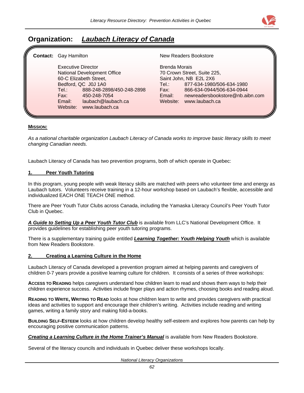

## **Organization:** *Laubach Literacy of Canada*

| <b>Contact:</b> Gay Hamilton                                       |                                                                                                                                                                   |                                                             | <b>New Readers Bookstore</b>                                                                                                                                         |
|--------------------------------------------------------------------|-------------------------------------------------------------------------------------------------------------------------------------------------------------------|-------------------------------------------------------------|----------------------------------------------------------------------------------------------------------------------------------------------------------------------|
| <b>Executive Director</b><br>Tel.: T<br>Fax:<br>Email:<br>Website: | National Development Office<br>60-C Elizabeth Street,<br>Bedford, QC J0J 1A0<br>888-248-2898/450-248-2898<br>450-248-7054<br>laubach@laubach.ca<br>www.laubach.ca | <b>Brenda Morais</b><br>Tel.:<br>Fax:<br>Email:<br>Website: | 70 Crown Street, Suite 225,<br>Saint John, NB E2L 2X6<br>877-634-1980/506-634-1980<br>866-634-0944/506-634-0944<br>newreadersbookstore@nb.aibn.com<br>www.laubach.ca |

#### **MISSION:**

*As a national charitable organization Laubach Literacy of Canada works to improve basic literacy skills to meet changing Canadian needs.*

Laubach Literacy of Canada has two prevention programs, both of which operate in Quebec:

#### **1. Peer Youth Tutoring**

In this program, young people with weak literacy skills are matched with peers who volunteer time and energy as Laubach tutors. Volunteers receive training in a 12-hour workshop based on Laubach's flexible, accessible and individualized EACH ONE TEACH ONE method.

There are Peer Youth Tutor Clubs across Canada, including the Yamaska Literacy Council's Peer Youth Tutor Club in Quebec.

*A Guide to Setting Up a Peer Youth Tutor Club* is available from LLC's National Development Office. It provides guidelines for establishing peer youth tutoring programs.

There is a supplementary training guide entitled *Learning Together: Youth Helping Youth* which is available from New Readers Bookstore.

#### **2. Creating a Learning Culture in the Home**

Laubach Literacy of Canada developed a prevention program aimed at helping parents and caregivers of children 0-7 years provide a positive learning culture for children. It consists of a series of three workshops:

**ACCESS TO READING** helps caregivers understand how children learn to read and shows them ways to help their children experience success. Activities include finger plays and action rhymes, choosing books and reading aloud.

**READING TO WRITE, WRITING TO READ** looks at how children learn to write and provides caregivers with practical ideas and activities to support and encourage their children's writing. Activities include reading and writing games, writing a family story and making fold-a-books.

**BUILDING SELF-ESTEEM** looks at how children develop healthy self-esteem and explores how parents can help by encouraging positive communication patterns.

*Creating a Learning Culture in the Home Trainer's Manual* is available from New Readers Bookstore.

Several of the literacy councils and individuals in Quebec deliver these workshops locally.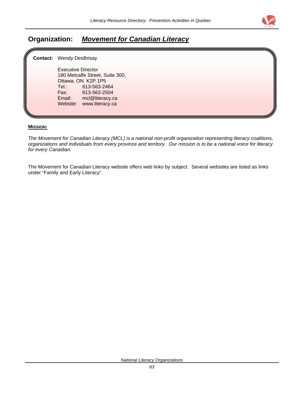

## **Organization:** *Movement for Canadian Literacy*

| ll | <b>Contact:</b> Wendy DesBrisay                                                                                                                                                                 |  |
|----|-------------------------------------------------------------------------------------------------------------------------------------------------------------------------------------------------|--|
|    | <b>Executive Director</b><br>180 Metcalfe Street, Suite 300,<br>Ottawa, ON K2P 1P5<br>613-563-2464<br>Tel.:<br>Fax:<br>613-563-2504<br>Email:<br>mcl@literacy.ca<br>Website:<br>www.literacy.ca |  |

#### **MISSION:**

*The Movement for Canadian Literacy (MCL) is a national non-profit organization representing literacy coalitions, organizations and individuals from every province and territory. Our mission is to be a national voice for literacy for every Canadian.*

The Movement for Canadian Literacy website offers web links by subject. Several websites are listed as links under "Family and Early Literacy".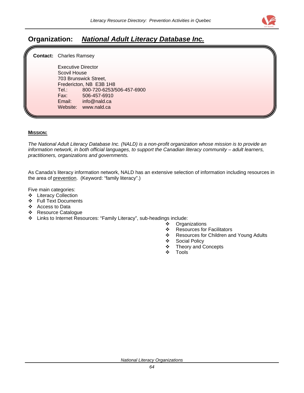

## **Organization:** *National Adult Literacy Database Inc.*

**Contact:** Charles Ramsey

 Executive Director Scovil House 703 Brunswick Street, Fredericton, NB E3B 1H8 Tel.: 800-720-6253/506-457-6900 Fax: 506-457-6910 info@nald.ca Website: www.nald.ca

#### **MISSION:**

*The National Adult Literacy Database Inc. (NALD) is a non-profit organization whose mission is to provide an information network, in both official languages, to support the Canadian literacy community – adult learners, practitioners, organizations and governments.*

As Canada's literacy information network, NALD has an extensive selection of information including resources in the area of prevention. (Keyword: "family literacy".)

Five main categories:

- Literacy Collection
- Full Text Documents
- Access to Data
- Resource Catalogue
- Links to Internet Resources: "Family Literacy", sub-headings include:
	- Organizations
	- ❖ Resources for Facilitators
	- ❖ Resources for Children and Young Adults
	- Social Policy
	- ❖ Theory and Concepts
	- $\div$  Tools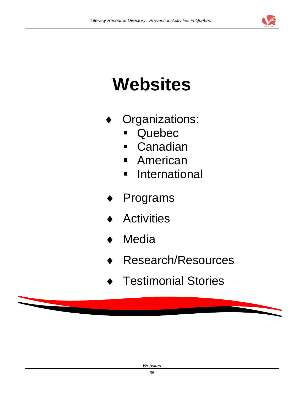

# **Websites**

- Organizations:
	- **Quebec**
	- Canadian
	- **American**
	- **International**
- Programs
- **Activities**
- Media
- Research/Resources
- **Testimonial Stories**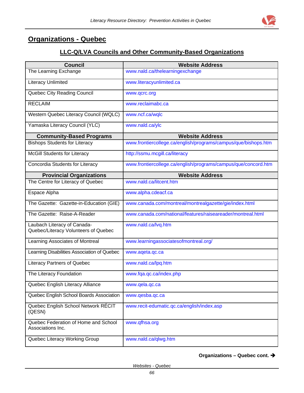#### **Organizations - Quebec**

#### **LLC-Q/LVA Councils and Other Community-Based Organizations**

| <b>Council</b>                                            | <b>Website Address</b>                                         |
|-----------------------------------------------------------|----------------------------------------------------------------|
| The Learning Exchange                                     | www.nald.ca/thelearningexchange                                |
| <b>Literacy Unlimited</b>                                 | www.literacyunlimited.ca                                       |
| Quebec City Reading Council                               | www.qcrc.org                                                   |
| <b>RECLAIM</b>                                            | www.reclaimabc.ca                                              |
| Western Quebec Literacy Council (WQLC)                    | www.ncf.ca/wqlc                                                |
| Yamaska Literacy Council (YLC)                            | www.nald.ca/ylc                                                |
| <b>Community-Based Programs</b>                           | <b>Website Address</b>                                         |
| <b>Bishops Students for Literacy</b>                      | www.frontiercollege.ca/english/programs/campus/que/bishops.htm |
| <b>McGill Students for Literacy</b>                       | http://ssmu.mcgill.ca/literacy                                 |
| Concordia Students for Literacy                           | www.frontiercollege.ca/english/programs/campus/que/concord.htm |
| <b>Provincial Organizations</b>                           | <b>Website Address</b>                                         |
| The Centre for Literacy of Quebec                         | www.nald.ca/litcent.htm                                        |
| Espace Alpha                                              | www.alpha.cdeacf.ca                                            |
| The Gazette: Gazette-in-Education (GIE)                   | www.canada.com/montreal/montrealgazette/gie/index.html         |
| The Gazette: Raise-A-Reader                               | www.canada.com/national/features/raiseareader/montreal.html    |
| Laubach Literacy of Canada-                               | www.nald.ca/lvq.htm                                            |
| Quebec/Literacy Volunteers of Quebec                      |                                                                |
| Learning Associates of Montreal                           | www.learningassociatesofmontreal.org/                          |
| Learning Disabilities Association of Quebec               | www.aqeta.qc.ca                                                |
| <b>Literacy Partners of Quebec</b>                        | www.nald.ca/lpq.htm                                            |
| The Literacy Foundation                                   | www.fqa.qc.ca/index.php                                        |
| Quebec English Literacy Alliance                          | www.qela.qc.ca                                                 |
| Quebec English School Boards Association                  | www.qesba.qc.ca                                                |
| Quebec English School Network RÉCIT<br>(QESN)             | www.recit-edumatic.qc.ca/english/index.asp                     |
| Quebec Federation of Home and School<br>Associations Inc. | www.qfhsa.org                                                  |
| Quebec Literacy Working Group                             | www.nald.ca/qlwg.htm                                           |

**Organizations – Quebec cont.** Î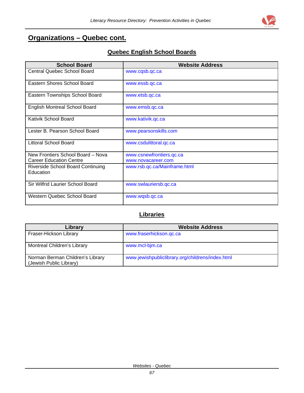# **Organizations – Quebec cont.**

#### **Quebec English School Boards**

| <b>School Board</b>                            | <b>Website Address</b>       |
|------------------------------------------------|------------------------------|
| Central Quebec School Board                    | www.cqsb.qc.ca               |
| Eastern Shores School Board                    | www.essb.qc.ca               |
| Eastern Townships School Board                 | www.etsb.qc.ca               |
| <b>English Montreal School Board</b>           | www.emsb.qc.ca               |
| Kativik School Board                           | www.kativik.qc.ca            |
| Lester B. Pearson School Board                 | www.pearsonskills.com        |
| <b>Littoral School Board</b>                   | www.csdulittoral.qc.ca       |
| New Frontiers School Board - Nova              | www.csnewfrontiers.qc.ca     |
| <b>Career Education Centre</b>                 | www.novacareer.com           |
| Riverside School Board Continuing<br>Education | www.rsb.qc.ca/Mainframe.html |
| Sir Wilfrid Laurier School Board               | www.swlauriersb.qc.ca        |
| Western Quebec School Board                    | www.wqsb.qc.ca               |

#### **Libraries**

| Library                                                     | <b>Website Address</b>                           |
|-------------------------------------------------------------|--------------------------------------------------|
| Fraser-Hickson Library                                      | www.fraserhickson.qc.ca                          |
| Montreal Children's Library                                 | www.mcl-bim.ca                                   |
| Norman Berman Children's Library<br>(Jewish Public Library) | www.jewishpubliclibrary.org/childrens/index.html |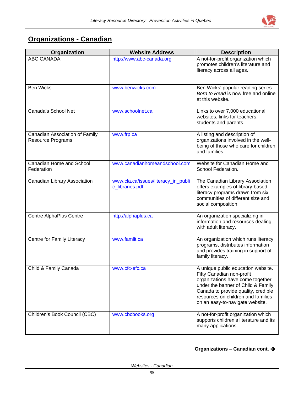

# **Organizations - Canadian**

| Organization                                               | <b>Website Address</b>                                 | <b>Description</b>                                                                                                                                                                                                                                        |
|------------------------------------------------------------|--------------------------------------------------------|-----------------------------------------------------------------------------------------------------------------------------------------------------------------------------------------------------------------------------------------------------------|
| <b>ABC CANADA</b>                                          | http://www.abc-canada.org                              | A not-for-profit organization which<br>promotes children's literature and<br>literacy across all ages.                                                                                                                                                    |
| <b>Ben Wicks</b>                                           | www.benwicks.com                                       | Ben Wicks' popular reading series<br>Born to Read is now free and online<br>at this website.                                                                                                                                                              |
| Canada's School Net                                        | www.schoolnet.ca                                       | Links to over 7,000 educational<br>websites, links for teachers,<br>students and parents.                                                                                                                                                                 |
| Canadian Association of Family<br><b>Resource Programs</b> | www.frp.ca                                             | A listing and description of<br>organizations involved in the well-<br>being of those who care for children<br>and families.                                                                                                                              |
| Canadian Home and School<br>Federation                     | www.canadianhomeandschool.com                          | Website for Canadian Home and<br>School Federation.                                                                                                                                                                                                       |
| Canadian Library Association                               | www.cla.ca/issues/literacy_in_publi<br>c_libraries.pdf | The Canadian Library Association<br>offers examples of library-based<br>literacy programs drawn from six<br>communities of different size and<br>social composition.                                                                                      |
| <b>Centre AlphaPlus Centre</b>                             | http://alphaplus.ca                                    | An organization specializing in<br>information and resources dealing<br>with adult literacy.                                                                                                                                                              |
| Centre for Family Literacy                                 | www.famlit.ca                                          | An organization which runs literacy<br>programs, distributes information<br>and provides training in support of<br>family literacy.                                                                                                                       |
| Child & Family Canada                                      | www.cfc-efc.ca                                         | A unique public education website.<br>Fifty Canadian non-profit<br>organizations have come together<br>under the banner of Child & Family<br>Canada to provide quality, credible<br>resources on children and families<br>on an easy-to-navigate website. |
| Children's Book Council (CBC)                              | www.cbcbooks.org                                       | A not-for-profit organization which<br>supports children's literature and its<br>many applications.                                                                                                                                                       |

#### **Organizations – Canadian cont.** Î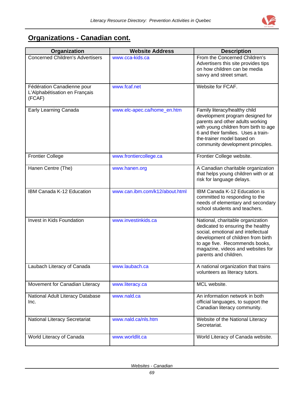

# **Organizations - Canadian cont.**

| Organization                                                          | <b>Website Address</b>         | <b>Description</b>                                                                                                                                                                                                                                       |
|-----------------------------------------------------------------------|--------------------------------|----------------------------------------------------------------------------------------------------------------------------------------------------------------------------------------------------------------------------------------------------------|
| <b>Concerned Children's Advertisers</b>                               | www.cca-kids.ca                | From the Concerned Children's<br>Advertisers this site provides tips<br>on how children can be media<br>savvy and street smart.                                                                                                                          |
| Fédération Canadienne pour<br>L'Alphabétisation en Français<br>(FCAF) | www.fcaf.net                   | Website for FCAF.                                                                                                                                                                                                                                        |
| Early Learning Canada                                                 | www.elc-apec.ca/home_en.htm    | Family literacy/healthy child<br>development program designed for<br>parents and other adults working<br>with young children from birth to age<br>6 and their families. Uses a train-<br>the-trainer model based on<br>community development principles. |
| <b>Frontier College</b>                                               | www.frontiercollege.ca         | Frontier College website.                                                                                                                                                                                                                                |
| Hanen Centre (The)                                                    | www.hanen.org                  | A Canadian charitable organization<br>that helps young children with or at<br>risk for language delays.                                                                                                                                                  |
| IBM Canada K-12 Education                                             | www.can.ibm.com/k12/about.html | IBM Canada K-12 Education is<br>committed to responding to the<br>needs of elementary and secondary<br>school students and teachers.                                                                                                                     |
| Invest in Kids Foundation                                             | www.investinkids.ca            | National, charitable organization<br>dedicated to ensuring the healthy<br>social, emotional and intellectual<br>development of children from birth<br>to age five. Recommends books,<br>magazine, videos and websites for<br>parents and children.       |
| Laubach Literacy of Canada                                            | www.laubach.ca                 | A national organization that trains<br>volunteers as literacy tutors.                                                                                                                                                                                    |
| Movement for Canadian Literacy                                        | www.literacy.ca                | MCL website.                                                                                                                                                                                                                                             |
| National Adult Literacy Database<br>Inc.                              | www.nald.ca                    | An information network in both<br>official languages, to support the<br>Canadian literacy community.                                                                                                                                                     |
| National Literacy Secretariat                                         | www.nald.ca/nls.htm            | Website of the National Literacy<br>Secretariat.                                                                                                                                                                                                         |
| World Literacy of Canada                                              | www.worldlit.ca                | World Literacy of Canada website.                                                                                                                                                                                                                        |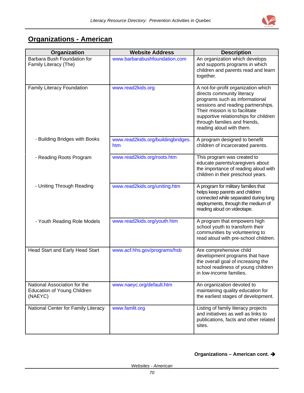

# **Organizations - American**

| Organization                                                           | <b>Website Address</b>                    | <b>Description</b>                                                                                                                                                                                                                                                                |
|------------------------------------------------------------------------|-------------------------------------------|-----------------------------------------------------------------------------------------------------------------------------------------------------------------------------------------------------------------------------------------------------------------------------------|
| <b>Barbara Bush Foundation for</b><br>Family Literacy (The)            | www.barbarabushfoundation.com             | An organization which develops<br>and supports programs in which<br>children and parents read and learn<br>together.                                                                                                                                                              |
| Family Literacy Foundation                                             | www.read2kids.org                         | A not-for-profit organization which<br>directs community literacy<br>programs such as informational<br>sessions and reading partnerships.<br>Their mission is to facilitate<br>supportive relationships for children<br>through families and friends,<br>reading aloud with them. |
| - Building Bridges with Books                                          | www.read2kids.org/buildingbridges.<br>htm | A program designed to benefit<br>children of incarcerated parents.                                                                                                                                                                                                                |
| - Reading Roots Program                                                | www.read2kids.org/roots.htm               | This program was created to<br>educate parents/caregivers about<br>the importance of reading aloud with<br>children in their preschool years.                                                                                                                                     |
| - Uniting Through Reading                                              | www.read2kids.org/uniting.htm             | A program for military families that<br>helps keep parents and children<br>connected while separated during long<br>deployments, through the medium of<br>reading aloud on videotape.                                                                                             |
| - Youth Reading Role Models                                            | www.read2kids.org/youth.htm               | A program that empowers high<br>school youth to transform their<br>communities by volunteering to<br>read aloud with pre-school children.                                                                                                                                         |
| <b>Head Start and Early Head Start</b>                                 | www.acf.hhs.gov/programs/hsb              | Are comprehensive child<br>development programs that have<br>the overall goal of increasing the<br>school readiness of young children<br>in low-income families.                                                                                                                  |
| National Association for the<br>Education of Young Children<br>(NAEYC) | www.naeyc.org/default.htm                 | An organization devoted to<br>maintaining quality education for<br>the earliest stages of development.                                                                                                                                                                            |
| National Center for Family Literacy                                    | www.famlit.org                            | Listing of family literacy projects<br>and initiatives as well as links to<br>publications, facts and other related<br>sites.                                                                                                                                                     |

#### **Organizations – American cont. →**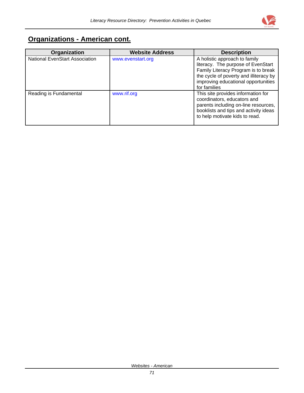

# **Organizations - American cont.**

| Organization                          | <b>Website Address</b> | <b>Description</b>                                                                                                                                                                   |
|---------------------------------------|------------------------|--------------------------------------------------------------------------------------------------------------------------------------------------------------------------------------|
| <b>National EvenStart Association</b> | www.evenstart.org      | A holistic approach to family<br>literacy. The purpose of EvenStart<br>Family Literacy Program is to break<br>the cycle of poverty and illiteracy by                                 |
|                                       |                        | improving educational opportunities<br>for families                                                                                                                                  |
| Reading is Fundamental                | www.rif.org            | This site provides information for<br>coordinators, educators and<br>parents including on-line resources,<br>booklists and tips and activity ideas<br>to help motivate kids to read. |

*Websites - American*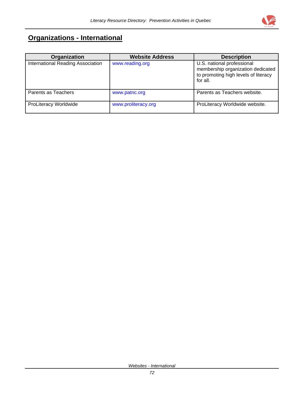

# **Organizations - International**

| Organization                      | <b>Website Address</b> | <b>Description</b>                                                                                                  |
|-----------------------------------|------------------------|---------------------------------------------------------------------------------------------------------------------|
| International Reading Association | www.reading.org        | U.S. national professional<br>membership organization dedicated<br>to promoting high levels of literacy<br>for all. |
| Parents as Teachers               | www.patnc.org          | Parents as Teachers website.                                                                                        |
| <b>ProLiteracy Worldwide</b>      | www.proliteracy.org    | ProLiteracy Worldwide website.                                                                                      |

*Websites - International*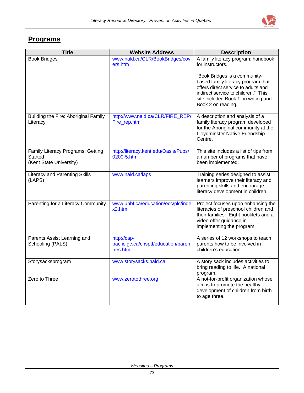

#### **Programs**

| <b>Title</b>                                                            | <b>Website Address</b>                                         | <b>Description</b>                                                                                                                                                                                             |
|-------------------------------------------------------------------------|----------------------------------------------------------------|----------------------------------------------------------------------------------------------------------------------------------------------------------------------------------------------------------------|
| <b>Book Bridges</b>                                                     | www.nald.ca/CLR/BookBridges/cov<br>ers.htm                     | A family literacy program: handbook<br>for instructors.                                                                                                                                                        |
|                                                                         |                                                                | "Book Bridges is a community-<br>based family literacy program that<br>offers direct service to adults and<br>indirect service to children." This<br>site included Book 1 on writing and<br>Book 2 on reading. |
| Building the Fire: Aboriginal Family<br>Literacy                        | http://www.nald.ca/CLR/FIRE_REP/<br>Fire_rep.htm               | A description and analysis of a<br>family literacy program developed<br>for the Aboriginal community at the<br>Lloydminster Native Friendship<br>Centre.                                                       |
| Family Literacy Programs: Getting<br>Started<br>(Kent State University) | http://literacy.kent.edu/Oasis/Pubs/<br>0200-5.htm             | This site includes a list of tips from<br>a number of programs that have<br>been implemented.                                                                                                                  |
| <b>Literacy and Parenting Skills</b><br>(LAPS)                          | www.nald.ca/laps                                               | Training series designed to assist<br>learners improve their literacy and<br>parenting skills and encourage<br>literacy development in children.                                                               |
| Parenting for a Literacy Community                                      | www.unbf.ca/education/ecc/plc/inde<br>x2.htm                   | Project focuses upon enhancing the<br>literacies of preschool children and<br>their families. Eight booklets and a<br>video offer guidance in<br>implementing the program.                                     |
| Parents Assist Learning and<br>Schooling (PALS)                         | http://cap-<br>pac.ic.gc.ca/chsptf/education/paren<br>tres.htm | A series of 12 workshops to teach<br>parents how to be involved in<br>children's education.                                                                                                                    |
| Storysacksprogram                                                       | www.storysacks.nald.ca                                         | A story sack includes activities to<br>bring reading to life. A national<br>program.                                                                                                                           |
| Zero to Three                                                           | www.zerotothree.org                                            | A not-for-profit organization whose<br>aim is to promote the healthy<br>development of children from birth<br>to age three.                                                                                    |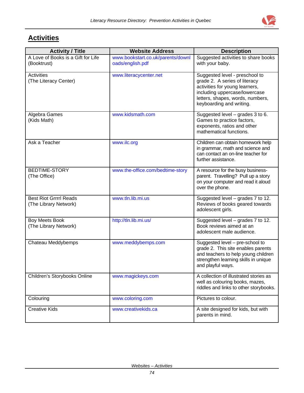

# **Activities**

| <b>Activity / Title</b>                                | <b>Website Address</b>                                | <b>Description</b>                                                                                                                                                                                 |
|--------------------------------------------------------|-------------------------------------------------------|----------------------------------------------------------------------------------------------------------------------------------------------------------------------------------------------------|
| A Love of Books is a Gift for Life<br>(Booktrust)      | www.bookstart.co.uk/parents/downl<br>oads/english.pdf | Suggested activities to share books<br>with your baby.                                                                                                                                             |
| <b>Activities</b><br>(The Literacy Center)             | www.literacycenter.net                                | Suggested level - preschool to<br>grade 2. A series of literacy<br>activities for young learners,<br>including uppercase/lowercase<br>letters, shapes, words, numbers,<br>keyboarding and writing. |
| Algebra Games<br>(Kids Math)                           | www.kidsmath.com                                      | Suggested level - grades 3 to 6.<br>Games to practice factors,<br>exponents, ratios and other<br>mathematical functions.                                                                           |
| Ask a Teacher                                          | www.ilc.org                                           | Children can obtain homework help<br>in grammar, math and science and<br>can contact an on-line teacher for<br>further assistance.                                                                 |
| <b>BEDTIME-STORY</b><br>(The Office)                   | www.the-office.com/bedtime-story                      | A resource for the busy business-<br>parent. Travelling? Pull up a story<br>on your computer and read it aloud<br>over the phone.                                                                  |
| <b>Best Riot Grrrrl Reads</b><br>(The Library Network) | www.tln.lib.mi.us                                     | Suggested level – grades 7 to 12.<br>Reviews of books geared towards<br>adolescent girls.                                                                                                          |
| <b>Boy Meets Book</b><br>(The Library Network)         | http://tln.lib.mi.us/                                 | Suggested level - grades 7 to 12.<br>Book reviews aimed at an<br>adolescent male audience.                                                                                                         |
| Chateau Meddybemps                                     | www.meddybemps.com                                    | Suggested level - pre-school to<br>grade 2. This site enables parents<br>and teachers to help young children<br>strengthen learning skills in unique<br>and playful ways.                          |
| Children's Storybooks Online                           | www.magickeys.com                                     | A collection of illustrated stories as<br>well as colouring books, mazes,<br>riddles and links to other storybooks.                                                                                |
| Colouring                                              | www.coloring.com                                      | Pictures to colour.                                                                                                                                                                                |
| <b>Creative Kids</b>                                   | www.creativekids.ca                                   | A site designed for kids, but with<br>parents in mind.                                                                                                                                             |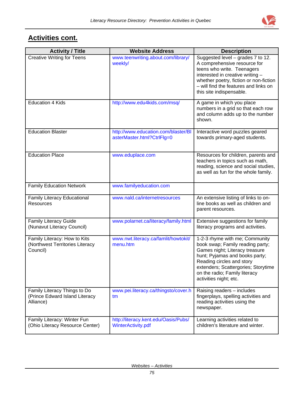

| <b>Activity / Title</b>                                                     | <b>Website Address</b>                                            | <b>Description</b>                                                                                                                                                                                                                                                    |
|-----------------------------------------------------------------------------|-------------------------------------------------------------------|-----------------------------------------------------------------------------------------------------------------------------------------------------------------------------------------------------------------------------------------------------------------------|
| <b>Creative Writing for Teens</b>                                           | www.teenwriting.about.com/library/<br>weekly/                     | Suggested level - grades 7 to 12.<br>A comprehensive resource for<br>teens who write. Teenagers<br>interested in creative writing -<br>whether poetry, fiction or non-fiction<br>- will find the features and links on<br>this site indispensable.                    |
| <b>Education 4 Kids</b>                                                     | http://www.edu4kids.com/msq/                                      | A game in which you place<br>numbers in a grid so that each row<br>and column adds up to the number<br>shown.                                                                                                                                                         |
| <b>Education Blaster</b>                                                    | http://www.education.com/blaster/Bl<br>asterMaster.html?CtrlFlg=0 | Interactive word puzzles geared<br>towards primary-aged students.                                                                                                                                                                                                     |
| <b>Education Place</b>                                                      | www.eduplace.com                                                  | Resources for children, parents and<br>teachers in topics such as math,<br>reading, science and social studies,<br>as well as fun for the whole family.                                                                                                               |
| <b>Family Education Network</b>                                             | www.familyeducation.com                                           |                                                                                                                                                                                                                                                                       |
| <b>Family Literacy Educational</b><br><b>Resources</b>                      | www.nald.ca/internetresources                                     | An extensive listing of links to on-<br>line books as well as children and<br>parent resources.                                                                                                                                                                       |
| Family Literacy Guide<br>(Nunavut Literacy Council)                         | www.polarnet.ca/literacy/family.html                              | Extensive suggestions for family<br>literacy programs and activities.                                                                                                                                                                                                 |
| Family Literacy: How to Kits<br>(Northwest Territories Literacy<br>Council) | www.nwt.literacy.ca/famlit/howtokit/<br>menu.htm                  | 1-2-3 rhyme with me; Community<br>book swap; Family reading party;<br>Games night; Literacy treasure<br>hunt; Pyjamas and books party;<br>Reading circles and story<br>extenders; Scattergories; Storytime<br>on the radio; Family literacy<br>activities night; etc. |
| Family Literacy Things to Do<br>(Prince Edward Island Literacy<br>Alliance) | www.pei.literacy.ca/thingsto/cover.h<br>tm                        | Raising readers - includes<br>fingerplays, spelling activities and<br>reading activities using the<br>newspaper.                                                                                                                                                      |
| Family Literacy: Winter Fun<br>(Ohio Literacy Resource Center)              | http://literacy.kent.edu/Oasis/Pubs/<br>WinterActivity.pdf        | Learning activities related to<br>children's literature and winter.                                                                                                                                                                                                   |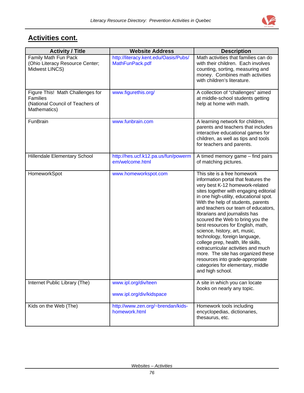| <b>Activity / Title</b>                                                                                 | <b>Website Address</b>                                  | <b>Description</b>                                                                                                                                                                                                                                                                                                                                                                                                                                                                                                                                                                                                                                                    |
|---------------------------------------------------------------------------------------------------------|---------------------------------------------------------|-----------------------------------------------------------------------------------------------------------------------------------------------------------------------------------------------------------------------------------------------------------------------------------------------------------------------------------------------------------------------------------------------------------------------------------------------------------------------------------------------------------------------------------------------------------------------------------------------------------------------------------------------------------------------|
| Family Math Fun Pack<br>(Ohio Literacy Resource Center;<br>Midwest LINCS)                               | http://literacy.kent.edu/Oasis/Pubs/<br>MathFunPack.pdf | Math activities that families can do<br>with their children. Each involves<br>counting, sorting, measuring and<br>money. Combines math activities<br>with children's literature.                                                                                                                                                                                                                                                                                                                                                                                                                                                                                      |
| Figure This! Math Challenges for<br><b>Families</b><br>(National Council of Teachers of<br>Mathematics) | www.figurethis.org/                                     | A collection of "challenges" aimed<br>at middle-school students getting<br>help at home with math.                                                                                                                                                                                                                                                                                                                                                                                                                                                                                                                                                                    |
| FunBrain                                                                                                | www.funbrain.com                                        | A learning network for children,<br>parents and teachers that includes<br>interactive educational games for<br>children, as well as tips and tools<br>for teachers and parents.                                                                                                                                                                                                                                                                                                                                                                                                                                                                                       |
| Hillendale Elementary School                                                                            | http://hes.ucf.k12.pa.us/fun/powerm<br>em/welcome.html  | A timed memory game – find pairs<br>of matching pictures.                                                                                                                                                                                                                                                                                                                                                                                                                                                                                                                                                                                                             |
| HomeworkSpot                                                                                            | www.homeworkspot.com                                    | This site is a free homework<br>information portal that features the<br>very best K-12 homework-related<br>sites together with engaging editorial<br>in one high-utility, educational spot.<br>With the help of students, parents<br>and teachers our team of educators,<br>librarians and journalists has<br>scoured the Web to bring you the<br>best resources for English, math,<br>science, history, art, music,<br>technology, foreign language,<br>college prep, health, life skills,<br>extracurricular activities and much<br>more. The site has organized these<br>resources into grade-appropriate<br>categories for elementary, middle<br>and high school. |
| Internet Public Library (The)                                                                           | www.ipl.org/div/teen<br>www.ipl.org/div/kidspace        | A site in which you can locate<br>books on nearly any topic.                                                                                                                                                                                                                                                                                                                                                                                                                                                                                                                                                                                                          |
| Kids on the Web (The)                                                                                   | http://www.zen.org/~brendan/kids-<br>homework.html      | Homework tools including<br>encyclopedias, dictionaries,<br>thesaurus, etc.                                                                                                                                                                                                                                                                                                                                                                                                                                                                                                                                                                                           |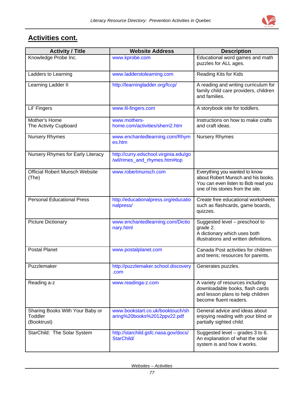

| <b>Activity / Title</b>                                   | <b>Website Address</b>                                                 | <b>Description</b>                                                                                                                              |
|-----------------------------------------------------------|------------------------------------------------------------------------|-------------------------------------------------------------------------------------------------------------------------------------------------|
| Knowledge Probe Inc.                                      | www.kprobe.com                                                         | Educational word games and math<br>puzzles for ALL ages.                                                                                        |
| Ladders to Learning                                       | www.ladderstolearning.com                                              | Reading Kits for Kids                                                                                                                           |
| Learning Ladder II                                        | http://learningladder.org/fccp/                                        | A reading and writing curriculum for<br>family child care providers, children<br>and families.                                                  |
| Lil' Fingers                                              | www.lil-fingers.com                                                    | A storybook site for toddlers.                                                                                                                  |
| Mother's Home<br>The Activity Cupboard                    | www.mothers-<br>home.com/activities/sherri2.htm                        | Instructions on how to make crafts<br>and craft ideas.                                                                                          |
| <b>Nursery Rhymes</b>                                     | www.enchantedlearning.com/Rhym<br>es.htm                               | <b>Nursery Rhymes</b>                                                                                                                           |
| Nursery Rhymes for Early Literacy                         | http://curry.edschool.virginia.edu/go<br>/wil/rimes_and_rhymes.htm#top |                                                                                                                                                 |
| <b>Official Robert Munsch Website</b><br>(The)            | www.robertmunsch.com                                                   | Everything you wanted to know<br>about Robert Munsch and his books.<br>You can even listen to Bob read you<br>one of his stories from the site. |
| <b>Personal Educational Press</b>                         | http://educationalpress.org/educatio<br>nalpress/                      | Create free educational worksheets<br>such as flashcards, game boards,<br>quizzes.                                                              |
| <b>Picture Dictionary</b>                                 | www.enchantedlearning.com/Dictio<br>nary.html                          | Suggested level - preschool to<br>grade 2.<br>A dictionary which uses both<br>illustrations and written definitions.                            |
| Postal Planet                                             | www.postalplanet.com                                                   | Canada Post activities for children<br>and teens; resources for parents.                                                                        |
| Puzzlemaker                                               | http://puzzlemaker.school.discovery<br>.com                            | Generates puzzles.                                                                                                                              |
| Reading a-z                                               | www.readinga-z.com                                                     | A variety of resources including<br>downloadable books, flash cards<br>and lesson plans to help children<br>become fluent readers.              |
| Sharing Books With Your Baby or<br>Toddler<br>(Booktrust) | www.bookstart.co.uk/booktouch/sh<br>aring%20books%2012ppv22.pdf        | General advice and ideas about<br>enjoying reading with your blind or<br>partially sighted child.                                               |
| StarChild: The Solar System                               | http://starchild.gsfc.nasa.gov/docs/<br>StarChild/                     | Suggested level $-$ grades 3 to 6.<br>An explanation of what the solar<br>system is and how it works.                                           |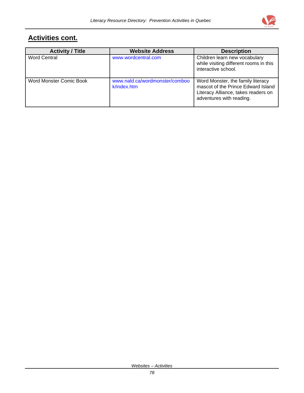

| <b>Activity / Title</b> | <b>Website Address</b>                        | <b>Description</b>                                                                                                                         |
|-------------------------|-----------------------------------------------|--------------------------------------------------------------------------------------------------------------------------------------------|
| <b>Word Central</b>     | www.wordcentral.com                           | Children learn new vocabulary<br>while visiting different rooms in this<br>interactive school.                                             |
| Word Monster Comic Book | www.nald.ca/wordmonster/comboo<br>k/index.htm | Word Monster, the family literacy<br>mascot of the Prince Edward Island<br>Literacy Alliance, takes readers on<br>adventures with reading. |

*Websites – Activities*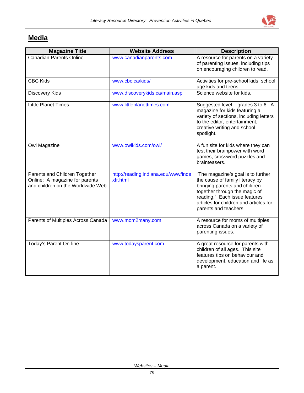

# **Media**

| <b>Magazine Title</b>                                                                                | <b>Website Address</b>                          | <b>Description</b>                                                                                                                                                                                                                          |
|------------------------------------------------------------------------------------------------------|-------------------------------------------------|---------------------------------------------------------------------------------------------------------------------------------------------------------------------------------------------------------------------------------------------|
| <b>Canadian Parents Online</b>                                                                       | www.canadianparents.com                         | A resource for parents on a variety<br>of parenting issues, including tips<br>on encouraging children to read.                                                                                                                              |
| <b>CBC Kids</b>                                                                                      | www.cbc.ca/kids/                                | Activities for pre-school kids, school<br>age kids and teens.                                                                                                                                                                               |
| Discovery Kids                                                                                       | www.discoverykids.ca/main.asp                   | Science website for kids.                                                                                                                                                                                                                   |
| <b>Little Planet Times</b>                                                                           | www.littleplanettimes.com                       | Suggested level - grades 3 to 6. A<br>magazine for kids featuring a<br>variety of sections, including letters<br>to the editor, entertainment,<br>creative writing and school<br>spotlight.                                                 |
| Owl Magazine                                                                                         | www.owlkids.com/owl/                            | A fun site for kids where they can<br>test their brainpower with word<br>games, crossword puzzles and<br>brainteasers.                                                                                                                      |
| Parents and Children Together<br>Online: A magazine for parents<br>and children on the Worldwide Web | http://reading.indiana.edu/www/inde<br>xfr.html | "The magazine's goal is to further<br>the cause of family literacy by<br>bringing parents and children<br>together through the magic of<br>reading." Each issue features<br>articles for children and articles for<br>parents and teachers. |
| Parents of Multiples Across Canada                                                                   | www.mom2many.com                                | A resource for moms of multiples<br>across Canada on a variety of<br>parenting issues.                                                                                                                                                      |
| Today's Parent On-line                                                                               | www.todaysparent.com                            | A great resource for parents with<br>children of all ages. This site<br>features tips on behaviour and<br>development, education and life as<br>a parent.                                                                                   |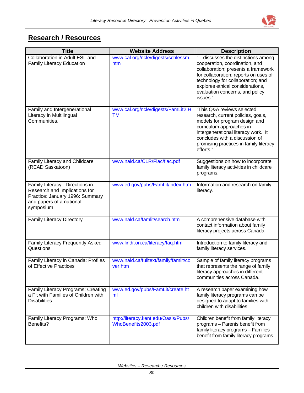

# **Research / Resources**

| <b>Title</b>                                                                                                                                | <b>Website Address</b>                                      | <b>Description</b>                                                                                                                                                                                                                                                          |
|---------------------------------------------------------------------------------------------------------------------------------------------|-------------------------------------------------------------|-----------------------------------------------------------------------------------------------------------------------------------------------------------------------------------------------------------------------------------------------------------------------------|
| Collaboration in Adult ESL and<br><b>Family Literacy Education</b>                                                                          | www.cal.org/ncle/digests/schlessm.<br>htm                   | "discusses the distinctions among<br>cooperation, coordination, and<br>collaboration; presents a framework<br>for collaboration; reports on uses of<br>technology for collaboration; and<br>explores ethical considerations,<br>evaluation concerns, and policy<br>issues." |
| Family and Intergenerational<br>Literacy in Multilingual<br>Communities.                                                                    | www.cal.org/ncle/digests/FamLit2.H<br>TM                    | "This Q&A reviews selected<br>research, current policies, goals,<br>models for program design and<br>curriculum approaches in<br>intergenerational literacy work. It<br>concludes with a discussion of<br>promising practices in family literacy<br>efforts."               |
| Family Literacy and Childcare<br>(READ Saskatoon)                                                                                           | www.nald.ca/CLR/Flac/flac.pdf                               | Suggestions on how to incorporate<br>family literacy activities in childcare<br>programs.                                                                                                                                                                                   |
| Family Literacy: Directions in<br>Research and Implications for<br>Practice: January 1996: Summary<br>and papers of a national<br>symposium | www.ed.gov/pubs/FamLit/index.htm                            | Information and research on family<br>literacy.                                                                                                                                                                                                                             |
| <b>Family Literacy Directory</b>                                                                                                            | www.nald.ca/famlit/search.htm                               | A comprehensive database with<br>contact information about family<br>literacy projects across Canada.                                                                                                                                                                       |
| Family Literacy Frequently Asked<br>Questions                                                                                               | www.lindr.on.ca/literacy/faq.htm                            | Introduction to family literacy and<br>family literacy services.                                                                                                                                                                                                            |
| Family Literacy in Canada: Profiles<br>of Effective Practices                                                                               | www.nald.ca/fulltext/family/famlit/co<br>ver.htm            | Sample of family literacy programs<br>that represents the range of family<br>literacy approaches in different<br>communities across Canada.                                                                                                                                 |
| Family Literacy Programs: Creating<br>a Fit with Families of Children with<br><b>Disabilities</b>                                           | www.ed.gov/pubs/FamLit/create.ht<br>ml                      | A research paper examining how<br>family literacy programs can be<br>designed to adapt to families with<br>children with disabilities.                                                                                                                                      |
| Family Literacy Programs: Who<br>Benefits?                                                                                                  | http://literacy.kent.edu/Oasis/Pubs/<br>WhoBenefits2003.pdf | Children benefit from family literacy<br>programs - Parents benefit from<br>family literacy programs - Families<br>benefit from family literacy programs.                                                                                                                   |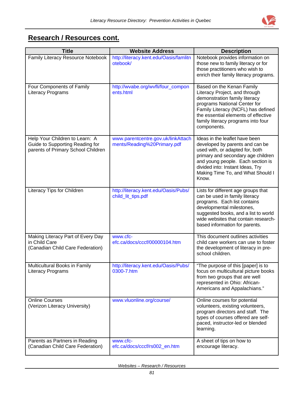

#### **Research / Resources cont.**

| <b>Title</b>                                                                                            | <b>Website Address</b>                                            | <b>Description</b>                                                                                                                                                                                                                                                |
|---------------------------------------------------------------------------------------------------------|-------------------------------------------------------------------|-------------------------------------------------------------------------------------------------------------------------------------------------------------------------------------------------------------------------------------------------------------------|
| Family Literacy Resource Notebook                                                                       | http://literacy.kent.edu/Oasis/famlitn<br>otebook/                | Notebook provides information on<br>those new to family literacy or for<br>those practitioners who wish to<br>enrich their family literacy programs.                                                                                                              |
| Four Components of Family<br><b>Literacy Programs</b>                                                   | http://wvabe.org/wvfli/four_compon<br>ents.html                   | Based on the Kenan Family<br>Literacy Project, and through<br>demonstration family literacy<br>programs National Center for<br>Family Literacy (NCFL) has defined<br>the essential elements of effective<br>family literacy programs into four<br>components.     |
| Help Your Children to Learn: A<br>Guide to Supporting Reading for<br>parents of Primary School Children | www.parentcentre.gov.uk/linkAttach<br>ments/Reading%20Primary.pdf | Ideas in the leaflet have been<br>developed by parents and can be<br>used with, or adapted for, both<br>primary and secondary age children<br>and young people. Each section is<br>divided into: Instant Ideas, Try<br>Making Time To, and What Should I<br>Know. |
| Literacy Tips for Children                                                                              | http://literacy.kent.edu/Oasis/Pubs/<br>child_lit_tips.pdf        | Lists for different age groups that<br>can be used in family literacy<br>programs. Each list contains<br>developmental milestones,<br>suggested books, and a list to world<br>wide websites that contain research-<br>based information for parents.              |
| Making Literacy Part of Every Day<br>in Child Care<br>(Canadian Child Care Federation)                  | www.cfc-<br>efc.ca/docs/cccf/00000104.htm                         | This document outlines activities<br>child care workers can use to foster<br>the development of literacy in pre-<br>school children.                                                                                                                              |
| Multicultural Books in Family<br>Literacy Programs                                                      | http://literacy.kent.edu/Oasis/Pubs/<br>0300-7.htm                | "The purpose of this [paper] is to<br>focus on multicultural picture books<br>from two groups that are well<br>represented in Ohio: African-<br>Americans and Appalachians."                                                                                      |
| <b>Online Courses</b><br>(Verizon Literacy University)                                                  | www.vluonline.org/course/                                         | Online courses for potential<br>volunteers, existing volunteers,<br>program directors and staff. The<br>types of courses offered are self-<br>paced, instructor-led or blended<br>learning.                                                                       |
| Parents as Partners in Reading<br>(Canadian Child Care Federation)                                      | www.cfc-<br>efc.ca/docs/cccf/rs002_en.htm                         | A sheet of tips on how to<br>encourage literacy.                                                                                                                                                                                                                  |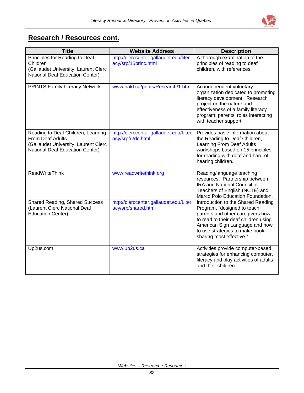

#### **Research / Resources cont.**

| <b>Title</b>                                                                                                                             | <b>Website Address</b>                                         | <b>Description</b>                                                                                                                                                                                                                            |
|------------------------------------------------------------------------------------------------------------------------------------------|----------------------------------------------------------------|-----------------------------------------------------------------------------------------------------------------------------------------------------------------------------------------------------------------------------------------------|
| Principles for Reading to Deaf<br>Children<br>(Gallaudet University, Laurent Clerc<br>National Deaf Education Center)                    | http://clerccenter.gallaudet.edu/liter<br>acy/srp/15princ.html | A thorough examination of the<br>principles of reading to deaf<br>children, with references.                                                                                                                                                  |
| <b>PRINTS Family Literacy Network</b>                                                                                                    | www.nald.ca/prints/Research/1.htm                              | An independent voluntary<br>organization dedicated to promoting<br>literacy development. Research<br>project on the nature and<br>effectiveness of a family literacy<br>program; parents' roles interacting<br>with teacher support.          |
| Reading to Deaf Children, Learning<br><b>From Deaf Adults</b><br>(Gallaudet University, Laurent Clerc<br>National Deaf Education Center) | http://clerccenter.gallaudet.edu/Liter<br>acy/srp/r2dc.html    | Provides basic information about<br>the Reading to Deaf Children,<br>Learning From Deaf Adults<br>workshops based on 15 principles<br>for reading with deaf and hard-of-<br>hearing children.                                                 |
| <b>ReadWriteThink</b>                                                                                                                    | www.readwritethink.org                                         | Reading/language teaching<br>resources. Partnership between<br>IRA and National Council of<br>Teachers of English (NCTE) and<br>Marco Polo Education Foundation.                                                                              |
| <b>Shared Reading, Shared Success</b><br>(Laurent Clerc National Deaf<br><b>Education Center)</b>                                        | http://clerccenter.gallaudet.edu/Liter<br>acy/srp/shared.html  | Introduction to the Shared Reading<br>Program, "designed to teach<br>parents and other caregivers how<br>to read to their deaf children using<br>American Sign Language and how<br>to use strategies to make book<br>sharing most effective." |
| Up2us.com                                                                                                                                | www.up2us.ca                                                   | Activities provide computer-based<br>strategies for enhancing computer,<br>literacy and play activities of adults<br>and their children.                                                                                                      |